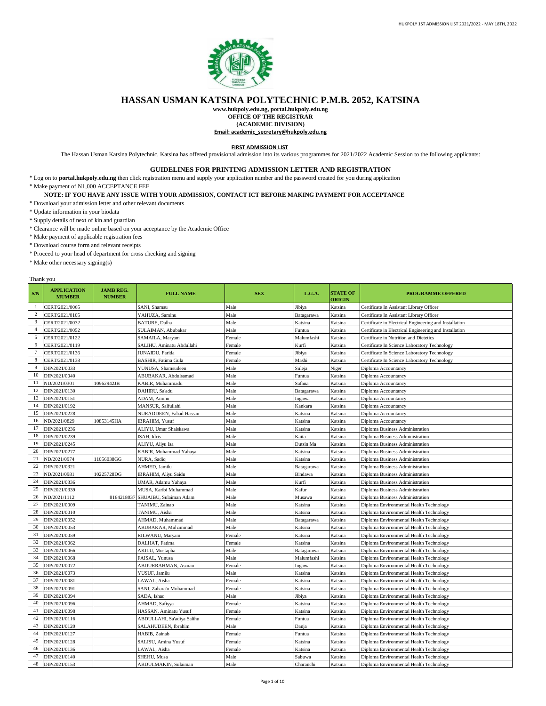

## **HASSAN USMAN KATSINA POLYTECHNIC P.M.B. 2052, KATSINA**

**www.hukpoly.edu.ng, portal.hukpoly.edu.ng**

**OFFICE OF THE REGISTRAR (ACADEMIC DIVISION)**

**Email: academic\_secretary@hukpoly.edu.ng**

**FIRST ADMISSION LIST**

The Hassan Usman Katsina Polytechnic, Katsina has offered provisional admission into its various programmes for 2021/2022 Academic Session to the following applicants:

## **GUIDELINES FOR PRINTING ADMISSION LETTER AND REGISTRATION**

\* Log on to **portal.hukpoly.edu.ng** then click registration menu and supply your application number and the password created for you during application

\* Make payment of N1,000 ACCEPTANCE FEE

## **NOTE: IF YOU HAVE ANY ISSUE WITH YOUR ADMISSION, CONTACT ICT BEFORE MAKING PAYMENT FOR ACCEPTANCE**

- \* Download your admission letter and other relevant documents
- \* Update information in your biodata
- \* Supply details of next of kin and guardian
- \* Clearance will be made online based on your acceptance by the Academic Office
- \* Make payment of applicable registration fees
- \* Download course form and relevant receipts
- \* Proceed to your head of department for cross checking and signing
- \* Make other necessary signing(s)

## Thank you

| S/N            | <b>APPLICATION</b><br><b>MUMBER</b> | <b>JAMB REG.</b><br><b>NUMBER</b> | <b>FULL NAME</b>           | <b>SEX</b> | L.G.A.     | <b>STATE OF</b><br><b>ORIGIN</b> | <b>PROGRAMME OFFERED</b>                               |
|----------------|-------------------------------------|-----------------------------------|----------------------------|------------|------------|----------------------------------|--------------------------------------------------------|
| $\mathbf{1}$   | CERT/2021/0065                      |                                   | SANI, Shamsu               | Male       | Jibiya     | Katsina                          | Certificate In Assistant Library Officer               |
| $\overline{c}$ | CERT/2021/0105                      |                                   | YAHUZA, Saminu             | Male       | Batagarawa | Katsina                          | Certificate In Assistant Library Officer               |
| 3              | CERT/2021/0032                      |                                   | BATURE, Dalha              | Male       | Katsina    | Katsina                          | Certificate in Electrical Engineering and Installation |
| $\overline{4}$ | CERT/2021/0052                      |                                   | SULAIMAN, Abubakar         | Male       | Funtua     | Katsina                          | Certificate in Electrical Engineering and Installation |
| 5              | CERT/2021/0122                      |                                   | SAMAILA, Maryam            | Female     | Malumfashi | Katsina                          | Certificate in Nutrition and Dietetics                 |
| 6              | CERT/2021/0119                      |                                   | SALIHU, Aminatu Abdullahi  | Female     | Kurfi      | Katsina                          | Certificate In Science Laboratory Technology           |
| 7              | CERT/2021/0136                      |                                   | JUNAIDU, Farida            | Female     | Jibiya     | Katsina                          | Certificate In Science Laboratory Technology           |
| 8              | CERT/2021/0138                      |                                   | BASHIR, Fatima Gula        | Female     | Mashi      | Katsina                          | Certificate In Science Laboratory Technology           |
| 9              | DIP/2021/0033                       |                                   | YUNUSA, Shamsudeen         | Male       | Suleja     | Niger                            | Diploma Accountancy                                    |
| 10             | DIP/2021/0040                       |                                   | ABUBAKAR, Abdulsamad       | Male       | Funtua     | Katsina                          | Diploma Accountancy                                    |
| 11             | ND/2021/0301                        | 10962942JB                        | KABIR, Muhammadu           | Male       | Safana     | Katsina                          | Diploma Accountancy                                    |
| 12             | DIP/2021/0130                       |                                   | DAHIRU, Sa'adu             | Male       | Batagarawa | Katsina                          | Diploma Accountancy                                    |
| 13             | DIP/2021/0151                       |                                   | ADAM, Aminu                | Male       | Ingawa     | Katsina                          | Diploma Accountancy                                    |
| 14             | DIP/2021/0192                       |                                   | MANSUR, Saifullahi         | Male       | Kankara    | Katsina                          | Diploma Accountancy                                    |
| 15             | DIP/2021/0228                       |                                   | NURADDEEN, Fahad Hassan    | Male       | Katsina    | Katsina                          | Diploma Accountancy                                    |
| 16             | ND/2021/0829                        | 10853145HA                        | <b>IBRAHIM, Yusuf</b>      | Male       | Katsina    | Katsina                          | Diploma Accountancy                                    |
| 17             | DIP/2021/0236                       |                                   | ALIYU, Umar Shaiskawa      | Male       | Katsina    | Katsina                          | Diploma Business Administration                        |
| 18             | DIP/2021/0239                       |                                   | ISAH. Idris                | Male       | Kaita      | Katsina                          | Diploma Business Administration                        |
| 19             | DIP/2021/0245                       |                                   | ALIYU, Aliyu Isa           | Male       | Dutsin Ma  | Katsina                          | Diploma Business Administration                        |
| 20             | DIP/2021/0277                       |                                   | KABIR, Muhammad Yahaya     | Male       | Katsina    | Katsina                          | Diploma Business Administration                        |
| 21             | ND/2021/0974                        | 11056038GG                        | NURA, Sadiq                | Male       | Katsina    | Katsina                          | Diploma Business Administration                        |
| 22             | DIP/2021/0321                       |                                   | AHMED, Jamilu              | Male       | Batagarawa | Katsina                          | Diploma Business Administration                        |
| 23             | ND/2021/0981                        | 10225728DG                        | IBRAHIM, Aliyu Saidu       | Male       | Bindawa    | Katsina                          | Diploma Business Administration                        |
| 24             | DIP/2021/0336                       |                                   | UMAR, Adamu Yahaya         | Male       | Kurfi      | Katsina                          | Diploma Business Administration                        |
| 25             | DIP/2021/0339                       |                                   | MUSA, Karibi Muhammad      | Male       | Kafur      | Katsina                          | Diploma Business Administration                        |
| 26             | ND/2021/1112                        | 8164218037                        | SHUAIBU, Sulaiman Adam     | Male       | Musawa     | Katsina                          | Diploma Business Administration                        |
| 27             | DIP/2021/0009                       |                                   | TANIMU, Zainab             | Male       | Katsina    | Katsina                          | Diploma Environmental Health Technology                |
| 28             | DIP/2021/0010                       |                                   | TANIMU, Aisha              | Male       | Katsina    | Katsina                          | Diploma Environmental Health Technology                |
| 29             | DIP/2021/0052                       |                                   | AHMAD, Muhammad            | Male       | Batagarawa | Katsina                          | Diploma Environmental Health Technology                |
| 30             | DIP/2021/0053                       |                                   | ABUBAKAR, Muhammad         | Male       | Katsina    | Katsina                          | Diploma Environmental Health Technology                |
| 31             | DIP/2021/0059                       |                                   | RILWANU, Maryam            | Female     | Katsina    | Katsina                          | Diploma Environmental Health Technology                |
| 32             | DIP/2021/0062                       |                                   | DALHAT, Fatima             | Female     | Katsina    | Katsina                          | Diploma Environmental Health Technology                |
| 33             | DIP/2021/0066                       |                                   | AKILU, Mustapha            | Male       | Batagarawa | Katsina                          | Diploma Environmental Health Technology                |
| 34             | DIP/2021/0068                       |                                   | FAISAL, Yunusa             | Male       | Malumfashi | Katsina                          | Diploma Environmental Health Technology                |
| 35             | DIP/2021/0072                       |                                   | ABDURRAHMAN, Asmau         | Female     | Ingawa     | Katsina                          | Diploma Environmental Health Technology                |
| 36             | DIP/2021/0073                       |                                   | YUSUF, Jamilu              | Male       | Katsina    | Katsina                          | Diploma Environmental Health Technology                |
| 37             | DIP/2021/0081                       |                                   | LAWAL, Aisha               | Female     | Katsina    | Katsina                          | Diploma Environmental Health Technology                |
| 38             | DIP/2021/0091                       |                                   | SANI, Zahara'u Muhammad    | Female     | Katsina    | Katsina                          | Diploma Environmental Health Technology                |
| 39             | DIP/2021/0094                       |                                   | SADA, Ishaq                | Male       | Jibiya     | Katsina                          | Diploma Environmental Health Technology                |
| 40             | DIP/2021/0096                       |                                   | AHMAD, Safiyya             | Female     | Katsina    | Katsina                          | Diploma Environmental Health Technology                |
| 41             | DIP/2021/0098                       |                                   | HASSAN, Aminatu Yusuf      | Female     | Katsina    | Katsina                          | Diploma Environmental Health Technology                |
| 42             | DIP/2021/0116                       |                                   | ABDULLAHI, Sa'adiya Salihu | Female     | Funtua     | Katsina                          | Diploma Environmental Health Technology                |
| 43             | DIP/2021/0120                       |                                   | SALAHUDEEN, Ibrahim        | Male       | Danja      | Katsina                          | Diploma Environmental Health Technology                |
| 44             | DIP/2021/0127                       |                                   | HABIB, Zainab              | Female     | Funtua     | Katsina                          | Diploma Environmental Health Technology                |
| 45             | DIP/2021/0128                       |                                   | SALISU, Amina Yusuf        | Female     | Katsina    | Katsina                          | Diploma Environmental Health Technology                |
| 46             | DIP/2021/0136                       |                                   | LAWAL, Aisha               | Female     | Katsina    | Katsina                          | Diploma Environmental Health Technology                |
| 47             | DIP/2021/0140                       |                                   | SHEHU, Musa                | Male       | Sabuwa     | Katsina                          | Diploma Environmental Health Technology                |
| 48             | DIP/2021/0153                       |                                   | ABDULMAKIN, Sulaiman       | Male       | Charanchi  | Katsina                          | Diploma Environmental Health Technology                |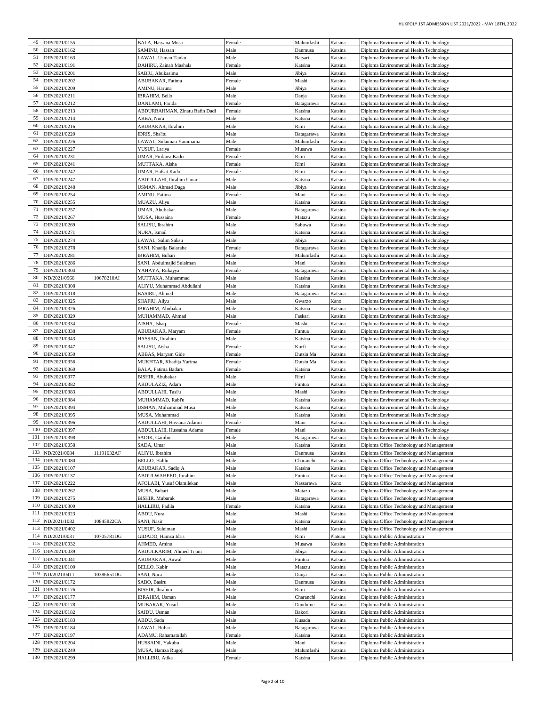| 49  | DIP/2021/0155                          |            | BALA, Hassana Musa                   | Female         | Malumfashi            | Katsina            | Diploma Environmental Health Technology                        |
|-----|----------------------------------------|------------|--------------------------------------|----------------|-----------------------|--------------------|----------------------------------------------------------------|
|     |                                        |            |                                      |                |                       |                    |                                                                |
| 50  | DIP/2021/0162                          |            | SAMINU, Hassan                       | Male           | Danmusa               | Katsina            | Diploma Environmental Health Technology                        |
| 51  | DIP/2021/0163                          |            | LAWAL, Usman Tanko                   | Male           | Batsari               | Katsina            | Diploma Environmental Health Technology                        |
| 52  | DIP/2021/0191                          |            | DAHIRU, Zainab Mashala               | Female         | Katsina               | Katsina            | Diploma Environmental Health Technology                        |
| 53  | DIP/2021/0201                          |            | SABIU, Abukasimu                     | Male           | Jibiya                | Katsina            | Diploma Environmental Health Technology                        |
| 54  | DIP/2021/0202                          |            | ABUBAKAR, Fatima                     | Female         | Mashi                 | Katsina            | Diploma Environmental Health Technology                        |
| 55  | DIP/2021/0209                          |            | AMINU, Haruna                        | Male           | Jibiya                | Katsina            | Diploma Environmental Health Technology                        |
|     |                                        |            |                                      |                |                       |                    |                                                                |
| 56  | DIP/2021/0211                          |            | <b>IBRAHIM</b> , Bello               | Male           | Danja                 | Katsina            | Diploma Environmental Health Technology                        |
| 57  | DIP/2021/0212                          |            | DANLAMI, Farida                      | Female         | Batagarawa            | Katsina            | Diploma Environmental Health Technology                        |
| 58  | DIP/2021/0213                          |            | ABDURRAHMAN, Zinatu Rafin Dadi       | Female         | Katsina               | Katsina            | Diploma Environmental Health Technology                        |
| 59  | DIP/2021/0214                          |            | ABBA, Nura                           | Male           | Katsina               | Katsina            | Diploma Environmental Health Technology                        |
| 60  | DIP/2021/0216                          |            | ABUBAKAR, Ibrahim                    | Male           | Rimi                  | Katsina            | Diploma Environmental Health Technology                        |
| 61  | DIP/2021/0220                          |            | IDRIS, Sha'itu                       | Male           | Batagarawa            | Katsina            | Diploma Environmental Health Technology                        |
|     |                                        |            |                                      |                |                       |                    |                                                                |
| 62  | DIP/2021/0226                          |            | LAWAL, Sulaiman Yammama              | Male           | Malumfashi            | Katsina            | Diploma Environmental Health Technology                        |
| 63  | DIP/2021/0227                          |            | YUSUF, Lariya                        | Female         | Musawa                | Katsina            | Diploma Environmental Health Technology                        |
| 64  | DIP/2021/0231                          |            | UMAR, Firdausi Kado                  | Female         | Rimi                  | Katsina            | Diploma Environmental Health Technology                        |
| 65  | DIP/2021/0241                          |            | MUTTAKA, Aisha                       | Female         | Rimi                  | Katsina            | Diploma Environmental Health Technology                        |
| 66  | DIP/2021/0242                          |            | UMAR, Hafsat Kado                    | Female         | Rimi                  | Katsina            | Diploma Environmental Health Technology                        |
| 67  | DIP/2021/0247                          |            | ABDULLAHI, Ibrahim Umar              | Male           | Katsina               | Katsina            | Diploma Environmental Health Technology                        |
| 68  | DIP/2021/0248                          |            |                                      | Male           |                       | Katsina            | Diploma Environmental Health Technology                        |
|     |                                        |            | USMAN, Ahmad Daga                    |                | Jibiya                |                    |                                                                |
| 69  | DIP/2021/0254                          |            | AMINU, Fatima                        | Female         | Mani                  | Katsina            | Diploma Environmental Health Technology                        |
| 70  | DIP/2021/0255                          |            | MUAZU, Aliyu                         | Male           | Katsina               | Katsina            | Diploma Environmental Health Technology                        |
| 71  | DIP/2021/0257                          |            | UMAR, Abubakar                       | Male           | Batagarawa            | Katsina            | Diploma Environmental Health Technology                        |
| 72  | DIP/2021/0267                          |            | MUSA, Hussaina                       | Female         | Matazu                | Katsina            | Diploma Environmental Health Technology                        |
| 73  | DIP/2021/0269                          |            | SALISU, Ibrahim                      | Male           | Sabuwa                | Katsina            | Diploma Environmental Health Technology                        |
| 74  | DIP/2021/0271                          |            | NURA, Ismail                         | Male           | Katsina               | Katsina            | Diploma Environmental Health Technology                        |
| 75  | DIP/2021/0274                          |            | LAWAL, Salim Salisu                  | Male           | Jibiya                | Katsina            | Diploma Environmental Health Technology                        |
| 76  |                                        |            |                                      |                |                       |                    |                                                                |
|     | DIP/2021/0278                          |            | SANI, Khadija Balarabe               | Female         | Batagarawa            | Katsina            | Diploma Environmental Health Technology                        |
| 77  | DIP/2021/0281                          |            | IBRAHIM, Buhari                      | Male           | Malumfashi            | Katsina            | Diploma Environmental Health Technology                        |
| 78  | DIP/2021/0286                          |            | SANI, Abdulmajid Sulaiman            | Male           | Mani                  | Katsina            | Diploma Environmental Health Technology                        |
| 79  | DIP/2021/0304                          |            | YAHAYA, Rukayya                      | Female         | Batagarawa            | Katsina            | Diploma Environmental Health Technology                        |
| 80  | ND/2021/0966                           | 10678210AI | MUTTAKA, Muhammad                    | Male           | Katsina               | Katsina            | Diploma Environmental Health Technology                        |
| 81  | DIP/2021/0308                          |            | ALIYU, Muhammad Abdullahi            | Male           | Katsina               | Katsina            | Diploma Environmental Health Technology                        |
| 82  | DIP/2021/0318                          |            | BASIRU, Ahmed                        |                |                       |                    |                                                                |
|     |                                        |            |                                      | Male           | Batagarawa            | Katsina            | Diploma Environmental Health Technology                        |
| 83  | DIP/2021/0325                          |            | SHAFIU, Aliyu                        | Male           | Gwarzo                | Kano               | Diploma Environmental Health Technology                        |
| 84  | DIP/2021/0326                          |            | IBRAHIM, Abubakar                    | Male           | Katsina               | Katsina            | Diploma Environmental Health Technology                        |
| 85  | DIP/2021/0329                          |            | MUHAMMAD, Ahmad                      | Male           | Faskari               | Katsina            | Diploma Environmental Health Technology                        |
| 86  | DIP/2021/0334                          |            | AISHA, Ishaq                         | Female         | Mashi                 | Katsina            | Diploma Environmental Health Technology                        |
| 87  | DIP/2021/0338                          |            | ABUBAKAR, Maryam                     | Female         | Funtua                | Katsina            | Diploma Environmental Health Technology                        |
| 88  | DIP/2021/0343                          |            | HASSAN, Ibrahim                      | Male           | Katsina               | Katsina            | Diploma Environmental Health Technology                        |
| 89  | DIP/2021/0347                          |            |                                      |                |                       |                    |                                                                |
|     |                                        |            |                                      |                |                       |                    |                                                                |
|     |                                        |            | SALISU, Aisha                        | Female         | Kurfi                 | Katsina            | Diploma Environmental Health Technology                        |
| 90  | DIP/2021/0350                          |            | ABBAS, Maryam Gide                   | Female         | Dutsin Ma             | Katsina            | Diploma Environmental Health Technology                        |
| 91  | DIP/2021/0356                          |            | MUKHTAR, Khadija Yarima              | Female         | Dutsin Ma             | Katsina            | Diploma Environmental Health Technology                        |
| 92  | DIP/2021/0360                          |            | BALA, Fatima Badaru                  | Female         | Katsina               | Katsina            | Diploma Environmental Health Technology                        |
| 93  | DIP/2021/0377                          |            | BISHIR, Abubakar                     | Male           | Rimi                  | Katsina            | Diploma Environmental Health Technology                        |
| 94  | DIP/2021/0382                          |            |                                      |                |                       |                    |                                                                |
|     |                                        |            | ABDULAZIZ, Adam                      | Male           | Funtua                | Katsina            | Diploma Environmental Health Technology                        |
| 95  | DIP/2021/0383                          |            | ABDULLAHI, Tasi'u                    | Male           | Mashi                 | Katsina            | Diploma Environmental Health Technology                        |
| 96  | DIP/2021/0384                          |            | MUHAMMAD, Rabi'u                     | Male           | Katsina               | Katsina            | Diploma Environmental Health Technology                        |
| 97  | DIP/2021/0394                          |            | USMAN, Muhammad Musa                 | Male           | Katsina               | Katsina            | Diploma Environmental Health Technology                        |
| 98  | DIP/2021/0395                          |            | MUSA, Muhammad                       | Male           | Katsina               | Katsina            | Diploma Environmental Health Technology                        |
| 99  | DIP/2021/0396                          |            | ABDULLAHI, Hassana Adamu             | Female         | Mani                  | Katsina            | Diploma Environmental Health Technology                        |
| 100 | DIP/2021/0397                          |            | ABDULLAHI, Hussaina Adamu            | Female         | Mani                  | Katsina            | Diploma Environmental Health Technology                        |
|     | 101 DIP/2021/0398                      |            | SADIK, Gambo                         | Male           | Batagarawa            | Katsina            | Diploma Environmental Health Technology                        |
| 102 | DIP/2021/0058                          |            | SADA, Umar                           | Male           | Katsina               | Katsina            | Diploma Office Technology and Management                       |
| 103 |                                        |            |                                      |                |                       |                    |                                                                |
|     | ND/2021/0084                           | 1191632AF  | ALIYU, Ibrahim                       | Male           | Danmusa               | Katsina            | Diploma Office Technology and Management                       |
| 104 | DIP/2021/0080                          |            | BELLO, Halilu                        | Male           | Charanchi             | Katsina            | Diploma Office Technology and Management                       |
| 105 | DIP/2021/0107                          |            | ABUBAKAR, Sadiq A                    | Male           | Katsina               | Katsina            | Diploma Office Technology and Management                       |
|     | 106 DIP/2021/0137                      |            | ABDULWAHEED, Ibrahim                 | Male           | Funtua                | Katsina            | Diploma Office Technology and Management                       |
| 107 | DIP/2021/0222                          |            | AFOLABI, Yusuf Olamilekan            | Male           | Nassarawa             | Kano               | Diploma Office Technology and Management                       |
| 108 | DIP/2021/0262                          |            | MUSA, Buhari                         | Male           | Matazu                | Katsina            | Diploma Office Technology and Management                       |
| 109 | DIP/2021/0275                          |            | <b>BISHIR, Mubarak</b>               | Male           | Batagarawa            | Katsina            | Diploma Office Technology and Management                       |
| 110 | DIP/2021/0300                          |            | HALLIRU, Fadila                      | Female         | Katsina               | Katsina            |                                                                |
|     |                                        |            |                                      |                |                       |                    | Diploma Office Technology and Management                       |
|     | 111 DIP/2021/0323                      |            | ABDU, Nura                           | Male           | Mashi                 | Katsina            | Diploma Office Technology and Management                       |
| 112 | ND/2021/1082                           | 10845822CA | SANI, Nasir                          | Male           | Katsina               | Katsina            | Diploma Office Technology and Management                       |
|     | 113 DIP/2021/0402                      |            | YUSUF, Suleiman                      | Male           | Mashi                 | Katsina            | Diploma Office Technology and Management                       |
| 114 | ND/2021/0031                           | 10705781DG | GIDADO, Hamza Idris                  | Male           | Rimi                  | Plateau            | Diploma Public Administration                                  |
| 115 | DIP/2021/0032                          |            | AHMED, Aminu                         | Male           | Musawa                | Katsina            | Diploma Public Administration                                  |
|     | 116 DIP/2021/0039                      |            | ABDULKARIM, Ahmed Tijani             | Male           | Jibiya                | Katsina            | Diploma Public Administration                                  |
|     | 117 DIP/2021/0041                      |            | ABUBAKAR, Auwal                      | Male           | Funtua                | Katsina            | Diploma Public Administration                                  |
|     |                                        |            |                                      |                |                       |                    |                                                                |
|     | 118 DIP/2021/0100                      |            | BELLO, Kabir                         | Male           | Matazu                | Katsina            | Diploma Public Administration                                  |
| 119 | ND/2021/0411                           | 10386651DG | SANI, Nura                           | Male           | Danja                 | Katsina            | Diploma Public Administration                                  |
|     | 120 DIP/2021/0172                      |            | SABO, Basiru                         | Male           | Danmusa               | Katsina            | Diploma Public Administration                                  |
| 121 | DIP/2021/0176                          |            | BISHIR, Ibrahim                      | Male           | Rimi                  | Katsina            | Diploma Public Administration                                  |
| 122 | DIP/2021/0177                          |            | IBRAHIM, Usman                       | Male           | Charanchi             | Katsina            | Diploma Public Administration                                  |
|     | 123 DIP/2021/0178                      |            | MUBARAK, Yusuf                       | Male           | Dandume               | Katsina            | Diploma Public Administration                                  |
| 124 | DIP/2021/0182                          |            | SAIDU, Usman                         | Male           | Bakori                | Katsina            |                                                                |
|     |                                        |            |                                      |                |                       |                    | Diploma Public Administration                                  |
|     | 125 DIP/2021/0183                      |            | ABDU, Sada                           | Male           | Kusada                | Katsina            | Diploma Public Administration                                  |
|     | 126 DIP/2021/0184                      |            | LAWAL, Buhari                        | Male           | Batagarawa            | Katsina            | Diploma Public Administration                                  |
| 127 | DIP/2021/0197                          |            | ADAMU, Rahamatullah                  | Female         | Katsina               | Katsina            | Diploma Public Administration                                  |
| 128 | DIP/2021/0204                          |            | HUSSAINI, Yakubu                     | Male           | Mani                  | Katsina            | Diploma Public Administration                                  |
|     | 129 DIP/2021/0249<br>130 DIP/2021/0299 |            | MUSA, Hamza Rugoji<br>HALLIRU, Atika | Male<br>Female | Malumfashi<br>Katsina | Katsina<br>Katsina | Diploma Public Administration<br>Diploma Public Administration |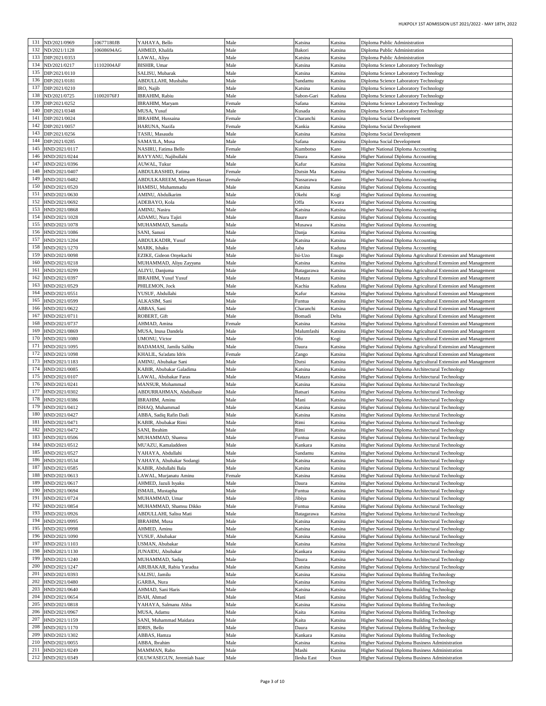| 131 | ND/2021/0969      | 10677180JB | YAHAYA, Bello               | Male   | Katsina     | Katsina | Diploma Public Administration                                 |
|-----|-------------------|------------|-----------------------------|--------|-------------|---------|---------------------------------------------------------------|
| 132 | ND/2021/1128      | 10608694AG | AHMED, Khalifa              | Male   | Bakori      | Katsina | Diploma Public Administration                                 |
| 133 | DIP/2021/0353     |            | LAWAL, Aliyu                | Male   | Katsina     | Katsina | Diploma Public Administration                                 |
| 134 | ND/2021/0217      | 11102004AF | BISHIR, Umar                | Male   | Katsina     | Katsina | Diploma Science Laboratory Technology                         |
| 135 |                   |            |                             |        |             |         |                                                               |
|     | DIP/2021/0110     |            | SALISU, Mubarak             | Male   | Katsina     | Katsina | Diploma Science Laboratory Technology                         |
| 136 | DIP/2021/0181     |            | ABDULLAHI, Musbahu          | Male   | Sandamu     | Katsina | Diploma Science Laboratory Technology                         |
| 137 | DIP/2021/0210     |            | IRO, Najib                  | Male   | Katsina     | Katsina | Diploma Science Laboratory Technology                         |
| 138 | ND/2021/0725      | 11002076FJ | IBRAHIM, Rabiu              | Male   | Sabon-Gari  | Kaduna  | Diploma Science Laboratory Technology                         |
| 139 | DIP/2021/0252     |            | IBRAHIM, Maryam             | Female | Safana      | Katsina | Diploma Science Laboratory Technology                         |
| 140 | DIP/2021/0348     |            | MUSA, Yusuf                 | Male   | Kusada      | Katsina | Diploma Science Laboratory Technology                         |
| 141 | DIP/2021/0024     |            | IBRAHIM, Hussaina           | Female | Charanchi   | Katsina | Diploma Social Development                                    |
| 142 | DIP/2021/0057     |            | HARUNA, Nazifa              | Female | Kankia      | Katsina | Diploma Social Development                                    |
| 143 | DIP/2021/0256     |            | TASIU, Masaudu              | Male   | Katsina     | Katsina | Diploma Social Development                                    |
| 144 | DIP/2021/0285     |            | SAMA'ILA, Musa              | Male   | Safana      | Katsina | Diploma Social Development                                    |
| 145 | HND/2021/0117     |            | NASIRU, Fatima Bello        | Female | Kumbotso    | Kano    | Higher National Diploma Accounting                            |
| 146 | HND/2021/0244     |            | RAYYANU, Najibullahi        | Male   | Daura       | Katsina | Higher National Diploma Accounting                            |
| 147 | HND/2021/0396     |            | AUWAL, Tukur                | Male   | Kafur       | Katsina | <b>Higher National Diploma Accounting</b>                     |
| 148 | HND/2021/0407     |            | ABDULRASHID, Fatima         | Female | Dutsin Ma   | Katsina | Higher National Diploma Accounting                            |
| 149 | HND/2021/0482     |            | ABDULKAREEM, Maryam Hassan  | Female | Nassarawa   | Kano    | <b>Higher National Diploma Accounting</b>                     |
| 150 | HND/2021/0520     |            | HAMISU, Muhammadu           | Male   | Katsina     | Katsina | Higher National Diploma Accounting                            |
| 151 | HND/2021/0630     |            | AMINU, Abdulkarim           | Male   | Okehi       | Kogi    | <b>Higher National Diploma Accounting</b>                     |
| 152 | HND/2021/0692     |            | ADEBAYO, Kola               | Male   | Offa        | Kwara   | Higher National Diploma Accounting                            |
| 153 | HND/2021/0868     |            | AMINU, Nasiru               | Male   | Katsina     | Katsina | <b>Higher National Diploma Accounting</b>                     |
| 154 | HND/2021/1028     |            | ADAMU, Nura Tajiri          | Male   | Baure       | Katsina | <b>Higher National Diploma Accounting</b>                     |
| 155 | HND/2021/1078     |            | MUHAMMAD, Samaila           | Male   | Musawa      | Katsina | Higher National Diploma Accounting                            |
| 156 | HND/2021/1086     |            | SANI, Sanusi                | Male   | Danja       | Katsina | Higher National Diploma Accounting                            |
| 157 | HND/2021/1204     |            | ABDULKADIR, Yusuf           | Male   | Katsina     | Katsina | <b>Higher National Diploma Accounting</b>                     |
| 158 | HND/2021/1270     |            | MARK, Ishaku                | Male   | Jaba        | Kaduna  | <b>Higher National Diploma Accounting</b>                     |
| 159 | HND/2021/0098     |            | EZIKE, Gideon Onyekachi     | Male   | Isi-Uzo     | Enugu   | Higher National Diploma Agricultural Extension and Management |
| 160 | HND/2021/0218     |            | MUHAMMAD, Aliyu Zayyana     | Male   | Katsina     | Katsina | Higher National Diploma Agricultural Extension and Management |
| 161 | HND/2021/0299     |            | ALIYU, Danjuma              | Male   | Batagarawa  | Katsina | Higher National Diploma Agricultural Extension and Management |
| 162 | HND/2021/0397     |            | <b>IBRAHIM, Yusuf Yusuf</b> | Male   | Matazu      | Katsina | Higher National Diploma Agricultural Extension and Management |
| 163 | HND/2021/0529     |            | PHILEMON, Jock              | Male   | Kachia      | Kaduna  | Higher National Diploma Agricultural Extension and Management |
| 164 | HND/2021/0551     |            | YUSUF, Abdullahi            | Male   | Kafur       | Katsina | Higher National Diploma Agricultural Extension and Management |
| 165 | HND/2021/0599     |            | ALKASIM, Sani               | Male   | Funtua      | Katsina | Higher National Diploma Agricultural Extension and Management |
| 166 | HND/2021/0622     |            | ABBAS, Sani                 | Male   | Charanchi   | Katsina | Higher National Diploma Agricultural Extension and Management |
| 167 | HND/2021/0711     |            | ROBERT, Gift                | Male   | Bomadi      | Delta   | Higher National Diploma Agricultural Extension and Management |
| 168 | HND/2021/0737     |            | AHMAD, Amina                | Female | Katsina     | Katsina | Higher National Diploma Agricultural Extension and Management |
| 169 | HND/2021/0869     |            | MUSA, Inusa Dandela         | Male   | Malumfashi  | Katsina | Higher National Diploma Agricultural Extension and Management |
| 170 | HND/2021/1080     |            | <b>UMONU</b> , Victor       | Male   | Ofu         | Kogi    | Higher National Diploma Agricultural Extension and Management |
| 171 | HND/2021/1095     |            | BADAMASI, Jamilu Salihu     | Male   | Daura       | Katsina | Higher National Diploma Agricultural Extension and Management |
| 172 | HND/2021/1098     |            | KHALIL, Sa'adatu Idris      | Female | Zango       | Katsina | Higher National Diploma Agricultural Extension and Management |
| 173 | HND/2021/1183     |            | AMINU, Abubakar Sani        | Male   | Dutsi       | Katsina | Higher National Diploma Agricultural Extension and Management |
| 174 | HND/2021/0085     |            | KABIR, Abubakar Galadima    | Male   | Katsina     | Katsina | Higher National Diploma Architectural Technology              |
| 175 | HND/2021/0107     |            | LAWAL, Abubakar Faras       | Male   | Matazu      | Katsina | Higher National Diploma Architectural Technology              |
| 176 | HND/2021/0241     |            | MANSUR, Mohammad            | Male   | Katsina     | Katsina | Higher National Diploma Architectural Technology              |
| 177 | HND/2021/0302     |            | ABDURRAHMAN, Abdulbasir     | Male   | Batsari     | Katsina | Higher National Diploma Architectural Technology              |
| 178 | HND/2021/0386     |            | IBRAHIM, Aminu              | Male   | Mani        | Katsina | Higher National Diploma Architectural Technology              |
| 179 | HND/2021/0412     |            | ISHAQ, Muhammad             | Male   | Katsina     | Katsina | Higher National Diploma Architectural Technology              |
| 180 | HND/2021/0427     |            | ABBA, Sadiq Rafin Dadi      | Male   | Katsina     | Katsina | Higher National Diploma Architectural Technology              |
| 181 | HND/2021/0471     |            | KABIR, Abubakar Rimi        | Male   | Rimi        | Katsina | Higher National Diploma Architectural Technology              |
| 182 | HND/2021/0472     |            | SANI, Ibrahim               | Male   | Rimi        | Katsina | Higher National Diploma Architectural Technology              |
|     | 183 HND/2021/0506 |            | MUHAMMAD, Shamsu            | Male   | runtua      | Katsina | Higher National Diploma Architectural Technology              |
|     | 184 HND/2021/0512 |            | MU'AZU, Kamaladdeen         | Male   | Kankara     | Katsina | Higher National Diploma Architectural Technology              |
| 185 | HND/2021/0527     |            | YAHAYA, Abdullahi           | Male   | Sandamu     | Katsina | Higher National Diploma Architectural Technology              |
| 186 | HND/2021/0534     |            | YAHAYA, Abubakar Sodangi    | Male   | Katsina     | Katsina | Higher National Diploma Architectural Technology              |
| 187 | HND/2021/0585     |            | KABIR, Abdullahi Bala       | Male   | Katsina     | Katsina | Higher National Diploma Architectural Technology              |
| 188 | HND/2021/0613     |            | LAWAL, Murjanatu Aminu      | Female | Katsina     | Katsina | Higher National Diploma Architectural Technology              |
| 189 | HND/2021/0617     |            | AHMED, Jazuli Isyaku        | Male   | Daura       | Katsina | Higher National Diploma Architectural Technology              |
| 190 | HND/2021/0694     |            | ISMAIL, Mustapha            | Male   | Funtua      | Katsina | Higher National Diploma Architectural Technology              |
| 191 | HND/2021/0724     |            | MUHAMMAD, Umar              | Male   | Jibiya      | Katsina | Higher National Diploma Architectural Technology              |
| 192 | HND/2021/0854     |            | MUHAMMAD, Shamsu Dikko      | Male   | Funtua      | Katsina | Higher National Diploma Architectural Technology              |
| 193 | HND/2021/0926     |            | ABDULLAHI, Salisu Mati      | Male   | Batagarawa  | Katsina | Higher National Diploma Architectural Technology              |
| 194 | HND/2021/0995     |            | IBRAHIM, Musa               | Male   | Katsina     | Katsina | Higher National Diploma Architectural Technology              |
| 195 | HND/2021/0998     |            | AHMED, Aminu                | Male   | Katsina     | Katsina | Higher National Diploma Architectural Technology              |
| 196 | HND/2021/1090     |            | YUSUF, Abubakar             | Male   | Katsina     | Katsina | Higher National Diploma Architectural Technology              |
| 197 | HND/2021/1103     |            | USMAN, Abubakar             | Male   | Katsina     | Katsina | Higher National Diploma Architectural Technology              |
| 198 | HND/2021/1130     |            | JUNAIDU, Abubakar           | Male   | Kankara     | Katsina | Higher National Diploma Architectural Technology              |
| 199 | HND/2021/1240     |            | MUHAMMAD, Sadiq             | Male   | Daura       | Katsina | Higher National Diploma Architectural Technology              |
| 200 | HND/2021/1247     |            | ABUBAKAR, Rabiu Yaradua     | Male   | Katsina     | Katsina | Higher National Diploma Architectural Technology              |
| 201 | HND/2021/0393     |            | SALISU, Jamilu              | Male   | Katsina     | Katsina | Higher National Diploma Building Technology                   |
| 202 | HND/2021/0480     |            | GARBA, Nura                 | Male   | Katsina     | Katsina | Higher National Diploma Building Technology                   |
| 203 | HND/2021/0640     |            | AHMAD, Sani Haris           | Male   | Katsina     | Katsina | Higher National Diploma Building Technology                   |
| 204 | HND/2021/0654     |            | ISAH, Ahmad                 | Male   | Mani        | Katsina | Higher National Diploma Building Technology                   |
| 205 | HND/2021/0818     |            | YAHAYA, Salmanu Abba        | Male   | Katsina     | Katsina | Higher National Diploma Building Technology                   |
| 206 | HND/2021/0967     |            | MUSA, Adamu                 | Male   | Kaita       | Katsina | Higher National Diploma Building Technology                   |
| 207 | HND/2021/1159     |            | SANI, Muhammad Maidara      | Male   | Kaita       | Katsina | Higher National Diploma Building Technology                   |
| 208 | HND/2021/1170     |            | IDRIS, Bello                | Male   | Daura       | Katsina | Higher National Diploma Building Technology                   |
| 209 | HND/2021/1302     |            | ABBAS, Hamza                | Male   | Kankara     | Katsina | Higher National Diploma Building Technology                   |
| 210 | HND/2021/0055     |            | ABBA, Ibrahim               | Male   | Katsina     | Katsina | Higher National Diploma Business Administration               |
| 211 | HND/2021/0249     |            | MAMMAN, Rabo                | Male   | Mashi       | Katsina | Higher National Diploma Business Administration               |
|     | 212 HND/2021/0349 |            | OLUWASEGUN, Jeremiah Isaac  | Male   | Ilesha East | Osun    | Higher National Diploma Business Administration               |
|     |                   |            |                             |        |             |         |                                                               |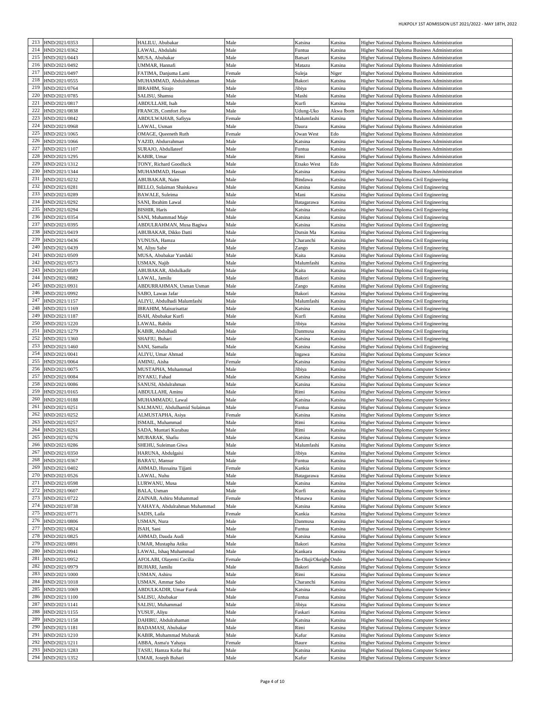| 213 | HND/2021/0353     |                                | Male   | Katsina          |           |                                                 |
|-----|-------------------|--------------------------------|--------|------------------|-----------|-------------------------------------------------|
|     |                   | HALILU, Abubakar               |        |                  | Katsina   | Higher National Diploma Business Administration |
| 214 | HND/2021/0362     | LAWAL, Abdulahi                | Male   | Funtua           | Katsina   | Higher National Diploma Business Administration |
| 215 | HND/2021/0443     | MUSA, Abubakar                 | Male   | Batsari          | Katsina   | Higher National Diploma Business Administration |
| 216 | HND/2021/0492     | UMMAR, Hannafi                 | Male   | Matazu           | Katsina   | Higher National Diploma Business Administration |
| 217 | HND/2021/0497     | FATIMA, Danjuma Lami           | Female | Suleja           | Niger     | Higher National Diploma Business Administration |
| 218 | HND/2021/0555     | MUHAMMAD, Abdulrahman          | Male   | Bakori           | Katsina   | Higher National Diploma Business Administration |
| 219 |                   | IBRAHIM, Sirajo                | Male   |                  | Katsina   |                                                 |
|     | HND/2021/0764     |                                |        | Jibiya           |           | Higher National Diploma Business Administration |
| 220 | HND/2021/0785     | SALISU, Shamsu                 | Male   | Mashi            | Katsina   | Higher National Diploma Business Administration |
| 221 | HND/2021/0817     | ABDULLAHI, Isah                | Male   | Kurfi            | Katsina   | Higher National Diploma Business Administration |
| 222 | HND/2021/0838     | FRANCIS, Comfort Joe           | Male   | Udung-Uko        | Akwa Ibom | Higher National Diploma Business Administration |
| 223 | HND/2021/0842     | ABDULWAHAB, Safiyya            | Female | Malumfashi       | Katsina   | Higher National Diploma Business Administration |
| 224 | HND/2021/0968     | LAWAL, Usman                   | Male   | Daura            | Katsina   | Higher National Diploma Business Administration |
| 225 | HND/2021/1065     | OMAGE, Queeneth Ruth           | Female | Owan West        | Edo       | Higher National Diploma Business Administration |
| 226 | HND/2021/1066     | YAZID, Abdurrahman             | Male   | Katsina          | Katsina   | Higher National Diploma Business Administration |
| 227 |                   |                                |        |                  |           |                                                 |
|     | HND/2021/1107     | SURAJO, Abdullateef            | Male   | Funtua           | Katsina   | Higher National Diploma Business Administration |
| 228 | HND/2021/1295     | KABIR, Umar                    | Male   | Rimi             | Katsina   | Higher National Diploma Business Administration |
| 229 | HND/2021/1312     | TONY, Richard Goodluck         | Male   | Etsako West      | Edo       | Higher National Diploma Business Administration |
| 230 | HND/2021/1344     | MUHAMMAD, Hassan               | Male   | Katsina          | Katsina   | Higher National Diploma Business Administration |
| 231 | HND/2021/0232     | ABUBAKAR, Naim                 | Male   | Bindawa          | Katsina   | Higher National Diploma Civil Engineering       |
| 232 | HND/2021/0281     | BELLO, Sulaiman Shaiskawa      | Male   | Katsina          | Katsina   | Higher National Diploma Civil Engineering       |
| 233 | HND/2021/0289     | BAWALE, Suleima                | Male   | Mani             | Katsina   | Higher National Diploma Civil Engineering       |
| 234 | HND/2021/0292     | SANI, Ibrahim Lawal            | Male   | Batagarawa       | Katsina   | Higher National Diploma Civil Engineering       |
| 235 | HND/2021/0294     | <b>BISHIR, Haris</b>           | Male   | Katsina          | Katsina   | Higher National Diploma Civil Engineering       |
| 236 | HND/2021/0354     | SANI, Muhammad Maje            | Male   | Katsina          | Katsina   | Higher National Diploma Civil Engineering       |
| 237 |                   |                                |        |                  |           |                                                 |
|     | HND/2021/0395     | ABDULRAHMAN, Musa Bagiwa       | Male   | Katsina          | Katsina   | Higher National Diploma Civil Engineering       |
| 238 | HND/2021/0419     | ABUBAKAR, Dikko Datti          | Male   | Dutsin Ma        | Katsina   | Higher National Diploma Civil Engineering       |
| 239 | HND/2021/0436     | YUNUSA, Hamza                  | Male   | Charanchi        | Katsina   | Higher National Diploma Civil Engineering       |
| 240 | HND/2021/0439     | M, Aliyu Sabe                  | Male   | Zango            | Katsina   | Higher National Diploma Civil Engineering       |
| 241 | HND/2021/0509     | MUSA, Abubakar Yandaki         | Male   | Kaita            | Katsina   | Higher National Diploma Civil Engineering       |
| 242 | HND/2021/0573     | USMAN, Najib                   | Male   | Malumfashi       | Katsina   | Higher National Diploma Civil Engineering       |
| 243 | HND/2021/0589     | ABUBAKAR, Abdulkadir           | Male   | Kaita            | Katsina   | Higher National Diploma Civil Engineering       |
| 244 | HND/2021/0882     | LAWAL, Jamilu                  | Male   | Bakori           | Katsina   | Higher National Diploma Civil Engineering       |
| 245 | HND/2021/0931     | ABDURRAHMAN, Usman Usman       | Male   | Zango            | Katsina   | Higher National Diploma Civil Engineering       |
| 246 | HND/2021/0992     | SABO, Lawan Jafar              | Male   | Bakori           | Katsina   | Higher National Diploma Civil Engineering       |
| 247 | HND/2021/1157     | ALIYU, Abdulhadi Malumfashi    | Male   | Malumfashi       | Katsina   | Higher National Diploma Civil Engineering       |
| 248 | HND/2021/1169     | <b>IBRAHIM, Maisurisattar</b>  | Male   | Katsina          | Katsina   |                                                 |
| 249 |                   |                                |        |                  |           | Higher National Diploma Civil Engineering       |
|     | HND/2021/1187     | ISAH, Abubakar Kurfi           | Male   | Kurfi            | Katsina   | Higher National Diploma Civil Engineering       |
| 250 | HND/2021/1220     | LAWAL, Rabilu                  | Male   | Jibiya           | Katsina   | Higher National Diploma Civil Engineering       |
| 251 | HND/2021/1279     | KABIR, Abdulhadi               | Male   | Danmusa          | Katsina   | Higher National Diploma Civil Engineering       |
| 252 | HND/2021/1360     | SHAFIU, Buhari                 | Male   | Katsina          | Katsina   | Higher National Diploma Civil Engineering       |
| 253 | HND/2021/1460     | SANI, Samaila                  | Male   | Katsina          | Katsina   | Higher National Diploma Civil Engineering       |
|     |                   |                                |        |                  |           |                                                 |
| 254 | HND/2021/0041     | ALIYU, Umar Ahmad              | Male   | Ingawa           | Katsina   | Higher National Diploma Computer Science        |
| 255 | HND/2021/0064     | AMINU, Aisha                   | Female | Katsina          | Katsina   | Higher National Diploma Computer Science        |
| 256 | HND/2021/0075     | MUSTAPHA, Muhammad             | Male   | Jibiya           | Katsina   | Higher National Diploma Computer Science        |
| 257 |                   |                                |        |                  |           |                                                 |
|     | HND/2021/0084     | ISYAKU, Fahad                  | Male   | Katsina          | Katsina   | Higher National Diploma Computer Science        |
| 258 | HND/2021/0086     | SANUSI, Abdulrahman            | Male   | Katsina          | Katsina   | Higher National Diploma Computer Science        |
| 259 | HND/2021/0165     | ABDULLAHI, Aminu               | Male   | Rimi             | Katsina   | Higher National Diploma Computer Science        |
| 260 | HND/2021/0188     | MUHAMMADU, Lawal               | Male   | Katsina          | Katsina   | Higher National Diploma Computer Science        |
| 261 | HND/2021/0251     | SALMANU, Abdulhamid Sulaiman   | Male   | Funtua           | Katsina   | Higher National Diploma Computer Science        |
| 262 | HND/2021/0252     | ALMUSTAPHA, Asiya              | Female | Katsina          | Katsina   | Higher National Diploma Computer Science        |
| 263 | HND/2021/0257     | ISMAIL, Muhammad               | Male   | Rimi             | Katsina   | Higher National Diploma Computer Science        |
| 264 | HND/2021/0261     | SADA, Muntari Kurabau          | Male   | Rimi             | Katsina   | Higher National Diploma Computer Science        |
|     | 265 HND/2021/0276 | MUBARAK, Shafiu                | Male   | Katsina          | Katsina   | Higher National Diploma Computer Science        |
| 266 | HND/2021/0286     | SHEHU, Suleiman Giwa           | Male   | Malumfashi       | Katsina   | Higher National Diploma Computer Science        |
|     | 267 HND/2021/0350 | HARUNA, Abdulgaisi             | Male   | Jibiya           | Katsina   | Higher National Diploma Computer Science        |
|     | 268 HND/2021/0367 | BARA'U, Mansur                 | Male   | Funtua           | Katsina   | Higher National Diploma Computer Science        |
|     |                   | AHMAD, Hussaina Tijjani        |        |                  |           |                                                 |
|     | 269 HND/2021/0402 |                                | Female | Kankia           | Katsina   | Higher National Diploma Computer Science        |
|     | 270 HND/2021/0526 | LAWAL, Nuhu                    | Male   | Batagarawa       | Katsina   | Higher National Diploma Computer Science        |
|     | 271 HND/2021/0598 | LURWANU, Musa                  | Male   | Katsina          | Katsina   | Higher National Diploma Computer Science        |
|     | 272 HND/2021/0607 | BALA, Usman                    | Male   | Kurfi            | Katsina   | Higher National Diploma Computer Science        |
| 273 | HND/2021/0722     | ZAINAB, Ashiru Muhammad        | Female | Musawa           | Katsina   | Higher National Diploma Computer Science        |
| 274 | HND/2021/0738     | YAHAYA, Abdulrahman Muhammad   | Male   | Katsina          | Katsina   | Higher National Diploma Computer Science        |
|     | 275 HND/2021/0771 | SADIS, Laila                   | Female | Kankia           | Katsina   | Higher National Diploma Computer Science        |
|     | 276 HND/2021/0806 | USMAN, Nura                    | Male   | Danmusa          | Katsina   | Higher National Diploma Computer Science        |
| 277 | HND/2021/0824     | ISAH, Sani                     | Male   | Funtua           | Katsina   | Higher National Diploma Computer Science        |
| 278 | HND/2021/0825     | AHMAD, Dauda Audi              | Male   | Katsina          | Katsina   | Higher National Diploma Computer Science        |
| 279 | HND/2021/0891     | UMAR, Mustapha Atiku           | Male   | Bakori           | Katsina   | Higher National Diploma Computer Science        |
| 280 | HND/2021/0941     | LAWAL, Ishaq Muhammad          | Male   | Kankara          | Katsina   | Higher National Diploma Computer Science        |
|     | 281 HND/2021/0952 | AFOLABI, Olayemi Cecilia       | Female | Ile-Oluji/Okeigb | Ondo      | Higher National Diploma Computer Science        |
|     | 282 HND/2021/0979 | BUHARI, Jamilu                 | Male   | Bakori           | Katsina   | Higher National Diploma Computer Science        |
| 283 |                   |                                |        |                  |           |                                                 |
|     | HND/2021/1000     | USMAN, Ashiru                  | Male   | Rimi             | Katsina   | Higher National Diploma Computer Science        |
| 284 | HND/2021/1018     | USMAN, Ammar Sabo              | Male   | Charanchi        | Katsina   | Higher National Diploma Computer Science        |
| 285 | HND/2021/1069     | <b>ABDULKADIR</b> , Umar Faruk | Male   | Katsina          | Katsina   | Higher National Diploma Computer Science        |
| 286 | HND/2021/1100     | SALISU, Abubakar               | Male   | Funtua           | Katsina   | Higher National Diploma Computer Science        |
| 287 | HND/2021/1141     | SALISU, Muhammad               | Male   | Jibiya           | Katsina   | Higher National Diploma Computer Science        |
| 288 | HND/2021/1155     | YUSUF, Aliyu                   | Male   | Faskari          | Katsina   | Higher National Diploma Computer Science        |
|     | 289 HND/2021/1158 | DAHIRU, Abdulrahaman           | Male   | Katsina          | Katsina   | Higher National Diploma Computer Science        |
|     | 290 HND/2021/1181 | BADAMASI, Abubakar             | Male   | Rimi             | Katsina   | Higher National Diploma Computer Science        |
| 291 | HND/2021/1210     | KABIR, Muhammad Mubarak        | Male   | Kafur            | Katsina   | Higher National Diploma Computer Science        |
| 292 | HND/2021/1211     | ABBA, Asma'u Yahaya            | Female | Baure            | Katsina   | Higher National Diploma Computer Science        |
|     | 293 HND/2021/1283 | TASIU, Hamza Kofar Bai         | Male   | Katsina          | Katsina   | Higher National Diploma Computer Science        |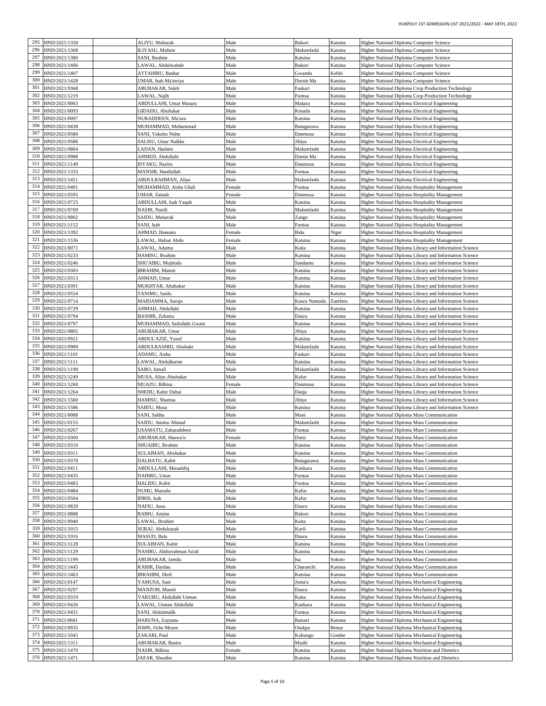| 295 |                                        |                            |        |              |         |                                                         |
|-----|----------------------------------------|----------------------------|--------|--------------|---------|---------------------------------------------------------|
|     | HND/2021/1358                          | ALIYU, Mubarak             | Male   | Bakori       | Katsina | Higher National Diploma Computer Science                |
| 296 | HND/2021/1368                          | <b>ILIYASU, Muhsin</b>     | Male   | Malumfashi   | Katsina | Higher National Diploma Computer Science                |
| 297 | HND/2021/1380                          | SANI, Ibrahim              | Male   | Katsina      | Katsina | Higher National Diploma Computer Science                |
| 298 | HND/2021/1406                          | LAWAL, Abdulwahab          | Male   | Bakori       | Katsina | Higher National Diploma Computer Science                |
| 299 | HND/2021/1407                          | ATTAHIRU, Bashar           | Male   | Gwandu       | Kebbi   | Higher National Diploma Computer Science                |
| 300 | HND/2021/1428                          | UMAR, Isah Ma'awiya        | Male   | Dutsin Ma    | Katsina | Higher National Diploma Computer Science                |
| 301 |                                        |                            |        |              |         |                                                         |
|     | HND/2021/0368                          | ABUBAKAR, Saleh            | Male   | Faskari      | Katsina | Higher National Diploma Crop Production Technology      |
| 302 | HND/2021/1219                          | LAWAL, Najib               | Male   | Funtua       | Katsina | Higher National Diploma Crop Production Technology      |
| 303 | HND/2021/0063                          | ABDULLAHI, Umar Matazu     | Male   | Matazu       | Katsina | Higher National Diploma Electrical Engineering          |
| 304 | HND/2021/0093                          | GIDADO, Abubakar           | Male   | Kusada       | Katsina | Higher National Diploma Electrical Engineering          |
| 305 | HND/2021/0097                          | NURADDEEN, Mu'azu          | Male   | Katsina      | Katsina | Higher National Diploma Electrical Engineering          |
| 306 | HND/2021/0438                          | MUHAMMAD, Muhammad         | Male   | Batagarawa   | Katsina | Higher National Diploma Electrical Engineering          |
| 307 | HND/2021/0580                          | SANI, Yakubu Nuhu          | Male   | Danmusa      | Katsina | Higher National Diploma Electrical Engineering          |
| 308 |                                        |                            |        |              |         |                                                         |
|     | HND/2021/0586                          | SALISU, Umar Naikke        | Male   | Jibiya       | Katsina | Higher National Diploma Electrical Engineering          |
| 309 | HND/2021/0864                          | LADAN, Hashim              | Male   | Malumfashi   | Katsina | Higher National Diploma Electrical Engineering          |
| 310 | HND/2021/0988                          | AHMED, Abdullahi           | Male   | Dutsin Ma    | Katsina | Higher National Diploma Electrical Engineering          |
| 311 | HND/2021/1149                          | ISYAKU, Naziru             | Male   | Danmusa      | Katsina | Higher National Diploma Electrical Engineering          |
| 312 | HND/2021/1333                          | MANSIR, Hanifullah         | Male   | Funtua       | Katsina | Higher National Diploma Electrical Engineering          |
| 313 | HND/2021/1451                          | ABDULRAHMAN, Aliyu         | Male   | Malumfashi   | Katsina | Higher National Diploma Electrical Engineering          |
|     | 314 HND/2021/0401                      | MUHAMMAD, Aisha Ghali      | Female | Funtua       | Katsina | Higher National Diploma Hospitality Management          |
| 315 | HND/2021/0595                          |                            |        |              |         |                                                         |
|     |                                        | UMAR, Zainab               | Female | Danmusa      | Katsina | Higher National Diploma Hospitality Management          |
|     | 316 HND/2021/0725                      | ABDULLAHI, Isah Yaqub      | Male   | Katsina      | Katsina | Higher National Diploma Hospitality Management          |
| 317 | HND/2021/0769                          | NASIR, Nazifi              | Male   | Malumfashi   | Katsina | Higher National Diploma Hospitality Management          |
| 318 | HND/2021/0802                          | SAIDU, Mubarak             | Male   | Zango        | Katsina | Higher National Diploma Hospitality Management          |
| 319 | HND/2021/1152                          | SANI, Isah                 | Male   | Funtua       | Katsina | Higher National Diploma Hospitality Management          |
| 320 | HND/2021/1392                          | AHMAD, Hannatu             | Female | Bida         | Niger   | Higher National Diploma Hospitality Management          |
| 321 | HND/2021/1536                          | LAWAL, Hafsat Abdu         | Female | Katsina      | Katsina | Higher National Diploma Hospitality Management          |
| 322 | HND/2021/0071                          | LAWAL, Adamu               | Male   | Kaita        | Katsina | Higher National Diploma Library and Information Science |
| 323 |                                        |                            |        |              |         |                                                         |
|     | HND/2021/0233                          | HAMISU, Ibrahim            | Male   | Katsina      | Katsina | Higher National Diploma Library and Information Science |
| 324 | HND/2021/0246                          | SHU'AIBU, Mujittafa        | Male   | Sandamu      | Katsina | Higher National Diploma Library and Information Science |
| 325 | HND/2021/0303                          | <b>IBRAHIM, Mansir</b>     | Male   | Katsina      | Katsina | Higher National Diploma Library and Information Science |
| 326 | HND/2021/0313                          | AHMAD, Umar                | Male   | Katsina      | Katsina | Higher National Diploma Library and Information Science |
| 327 | HND/2021/0391                          | MUKHTAR, Abubakar          | Male   | Katsina      | Katsina | Higher National Diploma Library and Information Science |
| 328 | HND/2021/0554                          | TANIMU, Saidu              | Male   | Katsina      | Katsina | Higher National Diploma Library and Information Science |
| 329 | HND/2021/0714                          | MAIDAMMA, Surajo           | Male   | Kaura Namoda | Zamfara | Higher National Diploma Library and Information Science |
| 330 | HND/2021/0729                          | AHMAD, Abdullahi           | Male   | Katsina      | Katsina | Higher National Diploma Library and Information Science |
| 331 | HND/2021/0794                          | <b>BASHIR, Zubairu</b>     | Male   | Daura        | Katsina | Higher National Diploma Library and Information Science |
| 332 |                                        |                            |        |              |         | Higher National Diploma Library and Information Science |
|     | HND/2021/0797                          | MUHAMMAD, Saifullahi Gwani | Male   | Katsina      | Katsina |                                                         |
| 333 | HND/2021/0805                          | ABUBAKAR, Umar             | Male   | Jibiya       | Katsina | Higher National Diploma Library and Information Science |
| 334 | HND/2021/0921                          | ABDUL'AZIZ, Yusuf          | Male   | Katsina      | Katsina | Higher National Diploma Library and Information Science |
| 335 | HND/2021/0989                          | ABDULRASHID, Abubakr       | Male   | Malumfashi   | Katsina | Higher National Diploma Library and Information Science |
| 336 | HND/2021/1101                          | ADAMU, Aisha               | Male   | Faskari      | Katsina | Higher National Diploma Library and Information Science |
| 337 | HND/2021/1111                          | LAWAL, Abdulkarim          | Male   | Katsina      | Katsina | Higher National Diploma Library and Information Science |
| 338 | HND/2021/1198                          | SABO, Ismail               | Male   | Malumfashi   | Katsina | Higher National Diploma Library and Information Science |
| 339 | HND/2021/1249                          | MUSA, Aliyu Abubakar       | Male   | Kafur        | Katsina | Higher National Diploma Library and Information Science |
| 340 | HND/2021/1260                          | <b>MUAZU</b> , Bilkisu     | Female | Danmusa      | Katsina | Higher National Diploma Library and Information Science |
| 341 | HND/2021/1264                          | SHEHU, Kabir Dabai         | Male   | Danja        | Katsina | Higher National Diploma Library and Information Science |
| 342 | HND/2021/1560                          | HAMISU, Shamsu             | Male   | Jibiya       | Katsina | Higher National Diploma Library and Information Science |
| 343 | HND/2021/1586                          | SABI'U, Musa               | Male   | Katsina      | Katsina | Higher National Diploma Library and Information Science |
| 344 | HND/2021/0088                          | SANI, Salihu               | Male   | Mani         | Katsina | Higher National Diploma Mass Communication              |
| 345 | HND/2021/0155                          | SAIDU, Aminu Ahmad         | Male   | Malumfashi   | Katsina | Higher National Diploma Mass Communication              |
| 346 | HND/2021/0267                          |                            |        |              |         |                                                         |
|     |                                        | USAMATU, Zaharaddeen       | Male   | Funtua       | Katsina | Higher National Diploma Mass Communication              |
|     | 347 HND/2021/0300                      | ABUBAKAR, Hauwa'u          | Female | Dutsi        | Katsina | Higher National Diploma Mass Communication              |
|     | 348 HND/2021/0310                      | SHUAIBU, Ibrahim           | Male   | Katsina      | Katsina | Higher National Diploma Mass Communication              |
|     | 349 HND/2021/0311                      | SULAIMAN, Abubakar         | Male   | Katsina      | Katsina | Higher National Diploma Mass Communication              |
|     | 350 HND/2021/0378                      | DALHATU, Kabir             | Male   | Batagarawa   | Katsina | Higher National Diploma Mass Communication              |
|     | 351 HND/2021/0411                      | ABDULLAHI, Musaddiq        | Male   | Kankara      | Katsina | Higher National Diploma Mass Communication              |
|     | 352 HND/2021/0435                      | DAHIRU, Umar               | Male   | Funtua       | Katsina | Higher National Diploma Mass Communication              |
|     | 353 HND/2021/0483                      | HALIDU, Kabir              | Male   | Funtua       | Katsina | Higher National Diploma Mass Communication              |
|     | 354 HND/2021/0484                      | NUHU, Mazadu               | Male   | Kafur        | Katsina | Higher National Diploma Mass Communication              |
|     | 355 HND/2021/0504                      | IDRIS, Isah                | Male   | Kafur        | Katsina | Higher National Diploma Mass Communication              |
|     | 356 HND/2021/0820                      | NAFIU, Anas                | Male   | Daura        | Katsina | Higher National Diploma Mass Communication              |
|     | 357 HND/2021/0888                      | RABIU, Aminu               | Male   |              |         | Higher National Diploma Mass Communication              |
|     | 358 HND/2021/0940                      |                            |        | Bakori       | Katsina |                                                         |
|     |                                        | LAWAL, Ibrahim             | Male   | Kaita        | Katsina | Higher National Diploma Mass Communication              |
|     | 359 HND/2021/1015                      | SURAJ, Abdulrazak          | Male   | Kurfi        | Katsina | Higher National Diploma Mass Communication              |
|     | 360 HND/2021/1016                      | MASUD, Bala                | Male   | Daura        | Katsina | Higher National Diploma Mass Communication              |
|     | 361 HND/2021/1128                      | SULAIMAN, Kabir            | Male   | Katsina      | Katsina | Higher National Diploma Mass Communication              |
|     | 362 HND/2021/1129                      | NASIRU, Abdurrahman Sa'ad  | Male   | Katsina      | Katsina | Higher National Diploma Mass Communication              |
|     | 363 HND/2021/1199                      | ABUBAKAR, Jamilu           | Male   | Isa          | Sokoto  | Higher National Diploma Mass Communication              |
|     |                                        | KABIR, Dardau              | Male   | Charanchi    | Katsina | Higher National Diploma Mass Communication              |
|     | 364 HND/2021/1445                      |                            |        |              |         |                                                         |
|     | 365 HND/2021/1463                      | IBRAHIM, Jibril            | Male   | Katsina      | Katsina | Higher National Diploma Mass Communication              |
|     | 366 HND/2021/0147                      |                            |        |              | Kaduna  |                                                         |
|     |                                        | YAMUSA, Sani               | Male   | Jema'a       |         | Higher National Diploma Mechanical Engineering          |
|     | 367 HND/2021/0297                      | MANZOH, Mansir             | Male   | Daura        | Katsina | Higher National Diploma Mechanical Engineering          |
|     | 368 HND/2021/0319                      | YAKUBU, Abdullahi Usman    | Male   | Kaita        | Katsina | Higher National Diploma Mechanical Engineering          |
| 369 | HND/2021/0426                          | LAWAL, Usman Abdullahi     | Male   | Kankara      | Katsina | Higher National Diploma Mechanical Engineering          |
|     | 370 HND/2021/0431                      | SANI, Abdulmalik           | Male   | Funtua       | Katsina | Higher National Diploma Mechanical Engineering          |
|     | 371 HND/2021/0681                      | HARUNA, Zayyana            | Male   | Batsari      | Katsina | Higher National Diploma Mechanical Engineering          |
|     | 372 HND/2021/0935                      | JOHN, Oche Moses           | Male   | Otukpo       | Benue   | Higher National Diploma Mechanical Engineering          |
|     | 373 HND/2021/1045                      | ZAKARI, Paul               | Male   | Kaltungo     | Gombe   | Higher National Diploma Mechanical Engineering          |
|     | 374 HND/2021/1311                      | ABUBAKAR, Basiru           | Male   | Mashi        | Katsina | Higher National Diploma Mechanical Engineering          |
|     | 375 HND/2021/1470<br>376 HND/2021/1471 | NASIR, Bilkisu             | Female | Katsina      | Katsina | Higher National Diploma Nutrition and Dietetics         |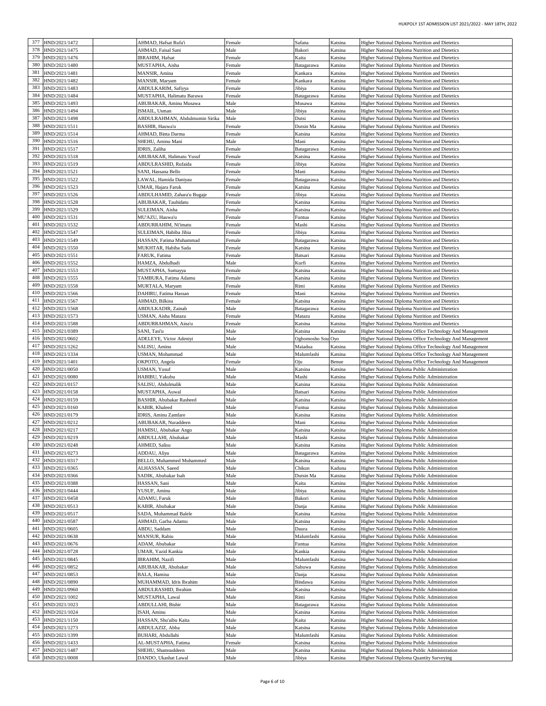| 377 | HND/2021/1472                          | AHMAD, Hafsat Rufa'i                       | Female       | Safana            | Katsina            | Higher National Diploma Nutrition and Dietetics                                             |
|-----|----------------------------------------|--------------------------------------------|--------------|-------------------|--------------------|---------------------------------------------------------------------------------------------|
| 378 |                                        |                                            |              |                   |                    |                                                                                             |
|     | HND/2021/1475                          | AHMAD, Faisal Sani                         | Male         | Bakori            | Katsina            | Higher National Diploma Nutrition and Dietetics                                             |
| 379 | HND/2021/1476                          | IBRAHIM, Hafsat                            | Female       | Kaita             | Katsina            | Higher National Diploma Nutrition and Dietetics                                             |
| 380 | HND/2021/1480                          | MUSTAPHA, Aisha                            | Female       | Batagarawa        | Katsina            | Higher National Diploma Nutrition and Dietetics                                             |
| 381 | HND/2021/1481                          | MANSIR, Amina                              | Female       | Kankara           | Katsina            | Higher National Diploma Nutrition and Dietetics                                             |
| 382 | HND/2021/1482                          | MANSIR, Maryam                             | Female       | Kankara           | Katsina            | Higher National Diploma Nutrition and Dietetics                                             |
| 383 | HND/2021/1483                          | ABDULKARIM, Safiyya                        | Female       | Jibiya            | Katsina            |                                                                                             |
|     |                                        |                                            |              |                   |                    | Higher National Diploma Nutrition and Dietetics                                             |
| 384 | HND/2021/1484                          | MUSTAPHA, Halimatu Barawa                  | Female       | Batagarawa        | Katsina            | Higher National Diploma Nutrition and Dietetics                                             |
| 385 | HND/2021/1493                          | ABUBAKAR, Aminu Musawa                     | Male         | Musawa            | Katsina            | Higher National Diploma Nutrition and Dietetics                                             |
| 386 | HND/2021/1494                          | ISMAIL, Usman                              | Male         | Jibiya            | Katsina            | Higher National Diploma Nutrition and Dietetics                                             |
| 387 | HND/2021/1498                          | ABDULRAHMAN, Abdulmumin Sirika             | Male         | Dutsi             | Katsina            | Higher National Diploma Nutrition and Dietetics                                             |
| 388 | HND/2021/1511                          | BASHIR, Hauwa'u                            | Female       | Dutsin Ma         | Katsina            | Higher National Diploma Nutrition and Dietetics                                             |
| 389 | HND/2021/1514                          | AHMAD, Binta Darma                         | Female       | Katsina           | Katsina            | Higher National Diploma Nutrition and Dietetics                                             |
| 390 |                                        |                                            |              |                   |                    |                                                                                             |
|     | HND/2021/1516                          | SHEHU, Aminu Mani                          | Male         | Mani              | Katsina            | Higher National Diploma Nutrition and Dietetics                                             |
| 391 | HND/2021/1517                          | IDRIS, Zaliha                              | Female       | Batagarawa        | Katsina            | Higher National Diploma Nutrition and Dietetics                                             |
| 392 | HND/2021/1518                          | ABUBAKAR, Halimatu Yusuf                   | Female       | Katsina           | Katsina            | Higher National Diploma Nutrition and Dietetics                                             |
| 393 | HND/2021/1519                          | ABDULRASHID, Rufaida                       | Female       | Jibiya            | Katsina            | Higher National Diploma Nutrition and Dietetics                                             |
| 394 | HND/2021/1521                          | SANI, Hassana Bello                        | Female       | Mani              | Katsina            | Higher National Diploma Nutrition and Dietetics                                             |
| 395 | HND/2021/1522                          | LAWAL, Hamida Daniyau                      | Female       | Batagarawa        | Katsina            | Higher National Diploma Nutrition and Dietetics                                             |
| 396 | HND/2021/1523                          | UMAR, Hajara Faruk                         |              |                   |                    |                                                                                             |
|     |                                        |                                            | Female       | Katsina           | Katsina            | Higher National Diploma Nutrition and Dietetics                                             |
| 397 | HND/2021/1526                          | ABDULHAMID, Zahara'u Bugaje                | Female       | Jibiya            | Katsina            | Higher National Diploma Nutrition and Dietetics                                             |
| 398 | HND/2021/1528                          | ABUBAKAR, Tauhidatu                        | Female       | Katsina           | Katsina            | Higher National Diploma Nutrition and Dietetics                                             |
| 399 | HND/2021/1529                          | SULEIMAN, Aisha                            | Female       | Katsina           | Katsina            | Higher National Diploma Nutrition and Dietetics                                             |
| 400 | HND/2021/1531                          | MU'AZU, Hauwa'u                            | Female       | Funtua            | Katsina            | Higher National Diploma Nutrition and Dietetics                                             |
| 401 | HND/2021/1532                          | ABDURRAHIM, Ni'imatu                       | Female       | Mashi             | Katsina            | Higher National Diploma Nutrition and Dietetics                                             |
| 402 | HND/2021/1547                          | SULEIMAN, Habiba Jibia                     | Female       | Jibiya            | Katsina            | Higher National Diploma Nutrition and Dietetics                                             |
|     |                                        |                                            |              |                   |                    |                                                                                             |
| 403 | HND/2021/1549                          | HASSAN, Fatima Muhammad                    | Female       | Batagarawa        | Katsina            | Higher National Diploma Nutrition and Dietetics                                             |
| 404 | HND/2021/1550                          | MUKHTAR, Habiba Sada                       | Female       | Katsina           | Katsina            | Higher National Diploma Nutrition and Dietetics                                             |
| 405 | HND/2021/1551                          | FARUK, Fatima                              | Female       | Batsari           | Katsina            | Higher National Diploma Nutrition and Dietetics                                             |
| 406 | HND/2021/1552                          | HAMZA, Abdulhadi                           | Male         | Kurfi             | Katsina            | Higher National Diploma Nutrition and Dietetics                                             |
| 407 | HND/2021/1553                          | MUSTAPHA, Sumayya                          | Female       | Katsina           | Katsina            | Higher National Diploma Nutrition and Dietetics                                             |
| 408 | HND/2021/1555                          | TAMBURA, Fatima Adamu                      | Female       | Katsina           | Katsina            | Higher National Diploma Nutrition and Dietetics                                             |
|     |                                        |                                            |              |                   |                    |                                                                                             |
| 409 | HND/2021/1558                          | MURTALA, Maryam                            | Female       | Rimi              | Katsina            | Higher National Diploma Nutrition and Dietetics                                             |
| 410 | HND/2021/1566                          | DAHIRU, Fatima Hassan                      | Female       | Mani              | Katsina            | Higher National Diploma Nutrition and Dietetics                                             |
| 411 | HND/2021/1567                          | AHMAD, Bilkisu                             | Female       | Katsina           | Katsina            | Higher National Diploma Nutrition and Dietetics                                             |
| 412 | HND/2021/1568                          | ABDULKADIR, Zainab                         | Male         | Batagarawa        | Katsina            | Higher National Diploma Nutrition and Dietetics                                             |
| 413 | HND/2021/1573                          | USMAN, Aisha Matazu                        | Female       | Matazu            | Katsina            | Higher National Diploma Nutrition and Dietetics                                             |
| 414 | HND/2021/1588                          | ABDURRAHMAN, Aina'u                        | Female       | Katsina           | Katsina            | Higher National Diploma Nutrition and Dietetics                                             |
|     |                                        |                                            |              |                   |                    |                                                                                             |
| 415 | HND/2021/0389                          | SANI, Tasi'u                               | Male         | Katsina           | Katsina            | Higher National Diploma Office Technology And Management                                    |
| 416 | HND/2021/0602                          | ADELEYE, Victor Adeniyi                    | Male         | Ogbomosho Sou     | Oyo                | Higher National Diploma Office Technology And Management                                    |
| 417 | HND/2021/1262                          | SALISU, Aminu                              | Male         | Maiadua           | Katsina            | Higher National Diploma Office Technology And Management                                    |
|     |                                        |                                            |              |                   |                    |                                                                                             |
| 418 | HND/2021/1334                          | USMAN, Mohammad                            | Male         | Malumfashi        | Katsina            | Higher National Diploma Office Technology And Management                                    |
| 419 |                                        |                                            |              | Oju               | Benue              |                                                                                             |
|     | HND/2021/1401                          | OKPOTO, Angela                             | Female       |                   |                    | Higher National Diploma Office Technology And Management                                    |
| 420 | HND/2021/0050                          | USMAN, Yusuf                               | Male         | Katsina           | Katsina            | Higher National Diploma Public Administration                                               |
| 421 | HND/2021/0080                          | HABIBU, Yakubu                             | Male         | Mashi             | Katsina            | Higher National Diploma Public Administration                                               |
| 422 | HND/2021/0157                          | SALISU, Abdulmalik                         | Male         | Katsina           | Katsina            | Higher National Diploma Public Administration                                               |
| 423 | HND/2021/0158                          | MUSTAPHA, Auwal                            | Male         | Batsari           | Katsina            | Higher National Diploma Public Administration                                               |
| 424 | HND/2021/0159                          | <b>BASHIR, Abubakar Rasheed</b>            | Male         | Katsina           | Katsina            | Higher National Diploma Public Administration                                               |
| 425 | HND/2021/0160                          | KABIR, Khaleed                             | Male         | Funtua            | Katsina            | Higher National Diploma Public Administration                                               |
| 426 |                                        |                                            |              |                   |                    |                                                                                             |
|     | HND/2021/0179                          | IDRIS, Aminu Zamfare                       | Male         | Katsina           | Katsina            | Higher National Diploma Public Administration                                               |
| 427 | HND/2021/0212                          | ABUBAKAR, Nuraddeen                        | Male         | Mani              | Katsina            | Higher National Diploma Public Administration                                               |
| 428 | HND/2021/0217                          | HAMISU, Abubakar Ango                      | Male         | Katsina           | Katsina            | Higher National Diploma Public Administration                                               |
| 429 | HND/2021/0219                          | ABDULLAHI, Abubakar                        | Male         | Mashi             | Katsina            | Higher National Diploma Public Administration                                               |
|     | 430 HND/2021/0248                      | AHMED, Salisu                              | Male         | Katsina           | Katsina            | Higher National Diploma Public Administration                                               |
|     | 431 HND/2021/0273                      | ADDAU, Aliyu                               | Male         | Batagarawa        | Katsina            | Higher National Diploma Public Administration                                               |
|     | 432 HND/2021/0317                      | BELLO, Muhammed Muhammed                   | Male         | Katsina           | Katsina            | Higher National Diploma Public Administration                                               |
|     | 433 HND/2021/0365                      | ALHASSAN, Saeed                            | Male         | Chikun            | Kaduna             | Higher National Diploma Public Administration                                               |
|     |                                        |                                            |              |                   |                    |                                                                                             |
|     | 434 HND/2021/0366                      | SADIK, Abubakar Isah                       | Male         | Dutsin Ma         | Katsina            | Higher National Diploma Public Administration                                               |
| 435 | HND/2021/0388                          | HASSAN, Sani                               | Male         | Kaita             | Katsina            | Higher National Diploma Public Administration                                               |
|     | 436 HND/2021/0444                      | YUSUF, Aminu                               | Male         | Jibiya            | Katsina            | Higher National Diploma Public Administration                                               |
|     | 437 HND/2021/0458                      | ADAMU, Faruk                               | Male         | Bakori            | Katsina            | Higher National Diploma Public Administration                                               |
|     | 438 HND/2021/0513                      | KABIR, Abubakar                            | Male         | Danja             | Katsina            | Higher National Diploma Public Administration                                               |
| 439 | HND/2021/0517                          | SADA, Muhammad Balele                      | Male         | Katsina           | Katsina            | Higher National Diploma Public Administration                                               |
| 440 | HND/2021/0587                          | AHMAD, Garba Adamu                         | Male         | Katsina           | Katsina            | Higher National Diploma Public Administration                                               |
| 441 | HND/2021/0605                          | ABDU, Saddam                               | Male         | Daura             | Katsina            | Higher National Diploma Public Administration                                               |
|     |                                        |                                            |              |                   |                    |                                                                                             |
|     | 442 HND/2021/0638                      | MANSUR, Rabiu                              | Male         | Malumfashi        | Katsina            | Higher National Diploma Public Administration                                               |
|     | 443 HND/2021/0676                      | ADAM, Abubakar                             | Male         | Funtua            | Katsina            | Higher National Diploma Public Administration                                               |
|     | 444 HND/2021/0728                      | UMAR, Yazid Kankia                         | Male         | Kankia            | Katsina            | Higher National Diploma Public Administration                                               |
| 445 | HND/2021/0845                          | <b>IBRAHIM, Nazifi</b>                     | Male         | Malumfashi        | Katsina            | Higher National Diploma Public Administration                                               |
|     | 446 HND/2021/0852                      | ABUBAKAR, Abubakar                         | Male         | Sabuwa            | Katsina            | Higher National Diploma Public Administration                                               |
| 447 | HND/2021/0853                          | BALA, Hamisu                               | Male         | Danja             | Katsina            | Higher National Diploma Public Administration                                               |
| 448 |                                        |                                            |              |                   |                    |                                                                                             |
|     | HND/2021/0890                          | MUHAMMAD, Idris Ibrahim                    | Male         | Bindawa           | Katsina            | Higher National Diploma Public Administration                                               |
|     | 449 HND/2021/0960                      | ABDULRASHID, Ibrahim                       | Male         | Katsina           | Katsina            | Higher National Diploma Public Administration                                               |
|     | 450 HND/2021/1002                      | MUSTAPHA, Lawal                            | Male         | Rimi              | Katsina            | Higher National Diploma Public Administration                                               |
|     | 451 HND/2021/1023                      | ABDULLAHI, Bishir                          | Male         | Batagarawa        | Katsina            | Higher National Diploma Public Administration                                               |
| 452 | HND/2021/1024                          | ISAH, Aminu                                | Male         | Katsina           | Katsina            | Higher National Diploma Public Administration                                               |
| 453 | HND/2021/1150                          | HASSAN, Shu'aibu Kaita                     | Male         | Kaita             | Katsina            | Higher National Diploma Public Administration                                               |
| 454 | HND/2021/1273                          | ABDULAZIZ, Abba                            | Male         | Katsina           | Katsina            | Higher National Diploma Public Administration                                               |
| 455 |                                        |                                            |              |                   |                    |                                                                                             |
|     | HND/2021/1399                          | BUHARI, Abdullahi                          | Male         | Malumfashi        | Katsina            | Higher National Diploma Public Administration                                               |
|     | 456 HND/2021/1433                      | AL-MUSTAPHA, Fatima                        | Female       | Katsina           | Katsina            | Higher National Diploma Public Administration                                               |
|     | 457 HND/2021/1487<br>458 HND/2021/0008 | SHEHU, Shamsuddeen<br>DANDO, Ukashat Lawal | Male<br>Male | Katsina<br>Jibiya | Katsina<br>Katsina | Higher National Diploma Public Administration<br>Higher National Diploma Quantity Surveying |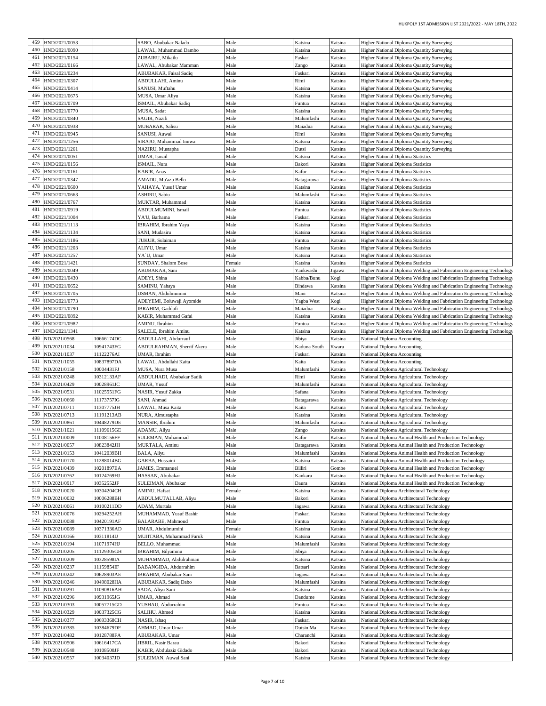| 459 |                  |            |                            |        |              |         |                                                                        |
|-----|------------------|------------|----------------------------|--------|--------------|---------|------------------------------------------------------------------------|
|     | HND/2021/0053    |            | SABO, Abubakar Nalado      | Male   | Katsina      | Katsina | Higher National Diploma Quantity Surveying                             |
| 460 | HND/2021/0090    |            | LAWAL, Muhammad Dambo      | Male   | Katsina      | Katsina | Higher National Diploma Quantity Surveying                             |
| 461 | HND/2021/0154    |            | ZUBAIRU, Mikailu           | Male   | Faskari      | Katsina | Higher National Diploma Quantity Surveying                             |
| 462 | HND/2021/0166    |            | LAWAL, Abubakar Mamman     | Male   | Zango        | Katsina | Higher National Diploma Quantity Surveying                             |
| 463 | HND/2021/0234    |            | ABUBAKAR, Faisal Sadiq     | Male   | Faskari      | Katsina | Higher National Diploma Quantity Surveying                             |
| 464 | HND/2021/0307    |            |                            |        |              |         |                                                                        |
|     |                  |            | ABDULLAHI, Aminu           | Male   | Rimi         | Katsina | Higher National Diploma Quantity Surveying                             |
| 465 | HND/2021/0414    |            | SANUSI, Muftahu            | Male   | Katsina      | Katsina | Higher National Diploma Quantity Surveying                             |
| 466 | HND/2021/0675    |            | MUSA, Umar Aliyu           | Male   | Katsina      | Katsina | Higher National Diploma Quantity Surveying                             |
| 467 | HND/2021/0709    |            | ISMAIL, Abubakar Sadiq     | Male   | Funtua       | Katsina | Higher National Diploma Quantity Surveying                             |
| 468 | HND/2021/0770    |            | MUSA, Sadat                | Male   | Katsina      | Katsina | Higher National Diploma Quantity Surveying                             |
|     |                  |            |                            |        |              |         |                                                                        |
| 469 | HND/2021/0840    |            | SAGIR, Nazifi              | Male   | Malumfashi   | Katsina | Higher National Diploma Quantity Surveying                             |
| 470 | HND/2021/0938    |            | MUBARAK, Salisu            | Male   | Maiadua      | Katsina | Higher National Diploma Quantity Surveying                             |
| 471 | HND/2021/0945    |            | SANUSI, Auwal              | Male   | Rimi         | Katsina | Higher National Diploma Quantity Surveying                             |
| 472 | HND/2021/1256    |            | SIRAJO, Muhammad Inuwa     | Male   | Katsina      | Katsina | Higher National Diploma Quantity Surveying                             |
| 473 | HND/2021/1261    |            | NAZIRU, Mustapha           | Male   | Dutsi        | Katsina |                                                                        |
|     |                  |            |                            |        |              |         | Higher National Diploma Quantity Surveying                             |
| 474 | HND/2021/0051    |            | UMAR, Ismail               | Male   | Katsina      | Katsina | Higher National Diploma Statistics                                     |
| 475 | HND/2021/0156    |            | ISMAIL, Nura               | Male   | Bakori       | Katsina | Higher National Diploma Statistics                                     |
| 476 | HND/2021/0161    |            | KABIR, Anas                | Male   | Kafur        | Katsina | <b>Higher National Diploma Statistics</b>                              |
| 477 | HND/2021/0347    |            | AMADU, Mu'azu Bello        | Male   | Batagarawa   | Katsina | Higher National Diploma Statistics                                     |
| 478 |                  |            |                            |        |              |         |                                                                        |
|     | HND/2021/0600    |            | YAHAYA, Yusuf Umar         | Male   | Katsina      | Katsina | <b>Higher National Diploma Statistics</b>                              |
| 479 | HND/2021/0663    |            | ASHIRU, Sabiu              | Male   | Malumfashi   | Katsina | Higher National Diploma Statistics                                     |
| 480 | HND/2021/0767    |            | MUKTAR, Muhammad           | Male   | Katsina      | Katsina | Higher National Diploma Statistics                                     |
| 481 | HND/2021/0919    |            | ABDULMUMINI, Ismail        | Male   | Funtua       | Katsina | <b>Higher National Diploma Statistics</b>                              |
| 482 | HND/2021/1004    |            | YA'U, Barhama              | Male   | Faskari      | Katsina | Higher National Diploma Statistics                                     |
| 483 | HND/2021/1113    |            |                            | Male   |              | Katsina |                                                                        |
|     |                  |            | IBRAHIM, Ibrahim Yaya      |        | Katsina      |         | <b>Higher National Diploma Statistics</b>                              |
| 484 | HND/2021/1134    |            | SANI, Mudasiru             | Male   | Katsina      | Katsina | <b>Higher National Diploma Statistics</b>                              |
| 485 | HND/2021/1186    |            | TUKUR, Sulaiman            | Male   | Funtua       | Katsina | Higher National Diploma Statistics                                     |
| 486 | HND/2021/1203    |            | ALIYU, Umar                | Male   | Katsina      | Katsina | <b>Higher National Diploma Statistics</b>                              |
| 487 | HND/2021/1257    |            | YA`U, Umar                 | Male   | Katsina      | Katsina | Higher National Diploma Statistics                                     |
|     |                  |            |                            |        |              |         |                                                                        |
| 488 | HND/2021/1421    |            | <b>SUNDAY, Shalom Bose</b> | Female | Katsina      | Katsina | <b>Higher National Diploma Statistics</b>                              |
| 489 | HND/2021/0049    |            | ABUBAKAR, Sani             | Male   | Yankwashi    | Jigawa  | Higher National Diploma Welding and Fabrication Engineering Technology |
| 490 | HND/2021/0430    |            | ADEYI, Shina               | Male   | Kabba/Bunu   | Kogi    | Higher National Diploma Welding and Fabrication Engineering Technology |
| 491 | HND/2021/0652    |            | SAMINU, Yahaya             | Male   | Bindawa      | Katsina | Higher National Diploma Welding and Fabrication Engineering Technology |
| 492 |                  |            |                            |        |              |         |                                                                        |
|     | HND/2021/0705    |            | USMAN, Abdulmumini         | Male   | Mani         | Katsina | Higher National Diploma Welding and Fabrication Engineering Technology |
| 493 | HND/2021/0773    |            | ADEYEMI, Boluwaji Ayomide  | Male   | Yagba West   | Kogi    | Higher National Diploma Welding and Fabrication Engineering Technology |
| 494 | HND/2021/0790    |            | IBRAHIM, Gaddafi           | Male   | Maiadua      | Katsina | Higher National Diploma Welding and Fabrication Engineering Technology |
| 495 | HND/2021/0892    |            | KABIR, Muhammad Gafai      | Male   | Katsina      | Katsina | Higher National Diploma Welding and Fabrication Engineering Technology |
| 496 |                  |            |                            |        |              |         |                                                                        |
|     | HND/2021/0982    |            | AMINU, Ibrahim             | Male   | Funtua       | Katsina | Higher National Diploma Welding and Fabrication Engineering Technology |
| 497 | HND/2021/1341    |            | SALELE, Ibrahim Aminu      | Male   | Katsina      | Katsina | Higher National Diploma Welding and Fabrication Engineering Technology |
| 498 | ND/2021/0568     | 10666174DC | ABDULLAHI, Abdurrauf       | Male   | Jibiya       | Katsina | National Diploma Accounting                                            |
| 499 | ND/2021/1034     | 10941743FG | ABDULRAHMAN, Sherrif Akera | Male   | Kaduna South | Kwara   | National Diploma Accounting                                            |
| 500 | ND/2021/1037     | 11122276AI | UMAR, Ibrahim              | Male   | Faskari      | Katsina | National Diploma Accounting                                            |
|     |                  |            |                            |        |              |         |                                                                        |
| 501 | ND/2021/1055     | 10837897DA | LAWAL, Abdullahi Kaita     | Male   | Kaita        | Katsina | National Diploma Accounting                                            |
| 502 | ND/2021/0158     | 10004431FJ | MUSA, Nura Musa            | Male   | Malumfashi   | Katsina | National Diploma Agricultural Technology                               |
| 503 | ND/2021/0248     | 10312133AF | ABDULHADI, Abubakar Sadik  | Male   | Rimi         | Katsina | National Diploma Agricultural Technology                               |
| 504 | ND/2021/0429     | 10028961JC | UMAR, Yusuf                | Male   | Malumfashi   | Katsina | National Diploma Agricultural Technology                               |
|     |                  |            |                            |        |              |         |                                                                        |
| 505 | ND/2021/0531     | 11025551FG | NASIR, Yusuf Zakka         | Male   | Safana       | Katsina | National Diploma Agricultural Technology                               |
| 506 | ND/2021/0660     | 11173757IG | SANI, Ahmad                | Male   | Batagarawa   | Katsina | National Diploma Agricultural Technology                               |
| 507 | ND/2021/0711     | 11307775JH | LAWAL, Musa Kaita          | Male   | Kaita        | Katsina | National Diploma Agricultural Technology                               |
| 508 | ND/2021/0713     | 11191213AB | NURA, Almustapha           | Male   | Katsina      | Katsina | National Diploma Agricultural Technology                               |
| 509 | VD/2021/0861     | 10448279DE | MANSIR, Ibrahim            | Male   | Malumfashi   | Katsina | National Diploma Agricultural Technology                               |
|     |                  |            |                            |        |              |         |                                                                        |
| 510 | ND/2021/1021     | 11109615GE | ADAMU, Aliyu               | Male   | Zango        | Katsina | National Diploma Agricultural Technology                               |
|     | 511 ND/2021/0009 | 11008156FF | SULEMAN, Muhammad          | Male   | Kafur        | Katsina | National Diploma Animal Health and Production Technology               |
| 512 | ND/2021/0057     | 10823842JH | MURTALA, Aminu             | Male   | Batagarawa   | Katsina | National Diploma Animal Health and Production Technology               |
| 513 | ND/2021/0153     | 10412039BH | BALA, Aliyu                | Male   | Malumfashi   | Katsina | National Diploma Animal Health and Production Technology               |
|     |                  |            |                            |        |              |         |                                                                        |
| 514 | ND/2021/0170     | 11288014BG | GARBA, Hussaini            | Male   | Katsina      | Katsina | National Diploma Animal Health and Production Technology               |
| 515 | ND/2021/0439     | 10201897EA | JAMES, Emmanuel            | Male   | Billiri      | Gombe   | National Diploma Animal Health and Production Technology               |
| 516 | ND/2021/0762     | 10124769HJ | HASSAN, Abubakar           | Male   | Kankara      | Katsina | National Diploma Animal Health and Production Technology               |
| 517 | ND/2021/0917     | 10352552JF | SULEIMAN, Abubakar         | Male   | Daura        | Katsina | National Diploma Animal Health and Production Technology               |
| 518 | ND/2021/0020     | 10304204CH | AMINU, Hafsat              | Female | Katsina      | Katsina | National Diploma Architectural Technology                              |
|     |                  |            |                            |        |              |         |                                                                        |
| 519 | ND/2021/0032     | 10006288BH | ABDULMUTALLAB, Aliyu       | Male   | Bakori       | Katsina | National Diploma Architectural Technology                              |
| 520 | ND/2021/0061     | 10100211DD | ADAM, Murtala              | Male   | Ingawa       | Katsina | National Diploma Architectural Technology                              |
| 521 | ND/2021/0076     | 10294252AH | MUHAMMAD, Yusuf Bashir     | Male   | Faskari      | Katsina | National Diploma Architectural Technology                              |
| 522 | ND/2021/0088     | 10420191AF | BALARABE, Mahmoud          | Male   | Funtua       | Katsina | National Diploma Architectural Technology                              |
| 523 | ND/2021/0089     | 10371336AD | UMAR, Abdulmumini          |        |              | Katsina |                                                                        |
|     |                  |            |                            | Female | Katsina      |         | National Diploma Architectural Technology                              |
| 524 | ND/2021/0166     | 10311814IJ | MUJITABA, Muhammad Faruk   | Male   | Katsina      | Katsina | National Diploma Architectural Technology                              |
| 525 | ND/2021/0194     | 11071974HJ | BELLO, Muhammad            | Male   | Malumfashi   | Katsina | National Diploma Architectural Technology                              |
| 526 | ND/2021/0205     | 11129305GH | IBRAHIM, Bilyaminu         | Male   | Jibiya       | Katsina | National Diploma Architectural Technology                              |
| 527 | ND/2021/0209     | 10328598IA | MUHAMMAD, Abdulrahman      | Male   | Katsina      | Katsina | National Diploma Architectural Technology                              |
|     |                  |            |                            |        |              |         |                                                                        |
| 528 | ND/2021/0237     | 11159854IF | BABANGIDA, Abdurrahim      | Male   | Batsari      | Katsina | National Diploma Architectural Technology                              |
| 529 | ND/2021/0242     | 10628903AE | IBRAHIM, Abubakar Sani     | Male   | Ingawa       | Katsina | National Diploma Architectural Technology                              |
| 530 | ND/2021/0246     | 10498028HA | ABUBAKAR, Sadiq Dabo       | Male   | Malumfashi   | Katsina | National Diploma Architectural Technology                              |
| 531 | ND/2021/0291     | 1090816AH  | SADA, Aliyu Sani           | Male   | Katsina      | Katsina | National Diploma Architectural Technology                              |
|     |                  |            |                            |        |              |         |                                                                        |
| 532 | ND/2021/0296     | 10931965JG | UMAR, Ahmad                | Male   | Dandume      | Katsina | National Diploma Architectural Technology                              |
| 533 | ND/2021/0303     | 10057715GD | YUSHAU, Abdurrahim         | Male   | Funtua       | Katsina | National Diploma Architectural Technology                              |
| 534 | ND/2021/0329     | 10037325CG | SALIHU, Ahmed              | Male   | Katsina      | Katsina | National Diploma Architectural Technology                              |
| 535 | ND/2021/0377     | 10693368CH | NASIR, Ishaq               | Male   | Faskari      | Katsina | National Diploma Architectural Technology                              |
|     |                  |            |                            |        |              |         |                                                                        |
| 536 | ND/2021/0385     | 10384679DF | AHMAD, Umar Umar           | Male   | Dutsin Ma    | Katsina | National Diploma Architectural Technology                              |
| 537 | ND/2021/0482     | 10128788FA | ABUBAKAR, Umar             | Male   | Charanchi    | Katsina | National Diploma Architectural Technology                              |
| 538 | ND/2021/0506     | 10616417CA | <b>JIBRIL, Nasir Barau</b> | Male   | Bakori       | Katsina | National Diploma Architectural Technology                              |
| 539 | ND/2021/0548     | 10108500JF | KABIR, Abdulaziz Gidado    | Male   | Bakori       | Katsina | National Diploma Architectural Technology                              |
| 540 | ND/2021/0557     | 10034037JD | SULEIMAN, Auwal Sani       | Male   | Katsina      | Katsina | National Diploma Architectural Technology                              |
|     |                  |            |                            |        |              |         |                                                                        |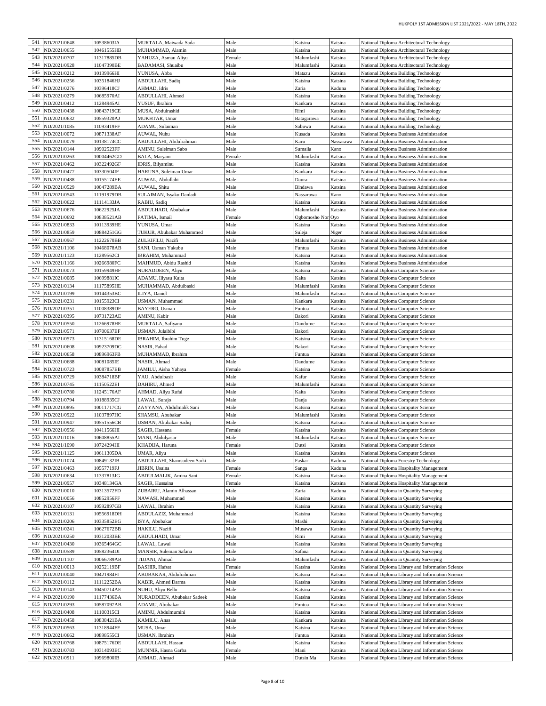| 541 | ND/2021/0648     | 10538603IA | MURTALA, Maiwada Sada       | Male   | Katsina       | Katsina   | National Diploma Architectural Technology        |
|-----|------------------|------------|-----------------------------|--------|---------------|-----------|--------------------------------------------------|
|     |                  |            |                             |        |               |           |                                                  |
| 542 | ND/2021/0655     | 0461555HB  | MUHAMMAD, Alamin            | Male   | Katsina       | Katsina   | National Diploma Architectural Technology        |
| 543 | ND/2021/0707     | 1317885DB  | YAHUZA, Asmau Aliyu         | Female | Malumfashi    | Katsina   | National Diploma Architectural Technology        |
| 544 | ND/2021/0928     | 1047390BE  | BADAMASI, Shuaibu           | Male   | Malumfashi    | Katsina   | National Diploma Architectural Technology        |
| 545 | ND/2021/0212     | 10139966HI | YUNUSA, Abba                | Male   | Matazu        | Katsina   | National Diploma Building Technology             |
| 546 | ND/2021/0256     | 10351846HJ | ABDULLAHI, Sadiq            | Male   | Katsina       | Katsina   | National Diploma Building Technology             |
| 547 | ND/2021/0276     | 10396418CJ | AHMAD, Idris                | Male   | Zaria         | Kaduna    | National Diploma Building Technology             |
|     |                  |            |                             |        |               |           |                                                  |
| 548 | ND/2021/0279     | 10685970AI | ABDULLAHI, Ahmed            | Male   | Katsina       | Katsina   | National Diploma Building Technology             |
| 549 | ND/2021/0412     | 1284945AI  | YUSUF, Ibrahim              | Male   | Kankara       | Katsina   | National Diploma Building Technology             |
| 550 | ND/2021/0438     | 10843719CE | MUSA, Abdulrashid           | Male   | Rimi          | Katsina   | National Diploma Building Technology             |
| 551 | ND/2021/0632     | 10559320AJ | MUKHTAR, Umar               | Male   | Batagarawa    | Katsina   | National Diploma Building Technology             |
| 552 | ND/2021/1085     | 1093419FF  | ADAMU, Sulaiman             | Male   | Sabuwa        | Katsina   | National Diploma Building Technology             |
| 553 | ND/2021/0072     | 10871338AF | AUWAL, Nuhu                 | Male   | Kusada        | Katsina   | National Diploma Business Administration         |
| 554 |                  |            |                             |        |               |           |                                                  |
|     | ND/2021/0079     | 10138174CC | ABDULLAHI, Abdulrahman      | Male   | Karu          | Nassarawa | National Diploma Business Administration         |
| 555 | ND/2021/0144     | 10902523FF | AMINU, Suleiman Sabo        | Male   | Sumaila       | Kano      | National Diploma Business Administration         |
| 556 | ND/2021/0263     | 10004462GD | BALA, Maryam                | Female | Malumfashi    | Katsina   | National Diploma Business Administration         |
| 557 | ND/2021/0462     | 10322492GF | IDRIS, Bilyaminu            | Male   | Katsina       | Katsina   | National Diploma Business Administration         |
| 558 | ND/2021/0477     | 10330504IF | HARUNA, Suleiman Umar       | Male   | Kankara       | Katsina   | National Diploma Business Administration         |
| 559 | ND/2021/0488     | 10155174EE | AUWAL, Abdullahi            | Male   | Daura         | Katsina   | National Diploma Business Administration         |
| 560 | ND/2021/0529     | 10047289BA | AUWAL, Shitu                | Male   | Bindawa       | Katsina   | National Diploma Business Administration         |
| 561 |                  |            |                             |        |               |           |                                                  |
|     | ND/2021/0543     | 11191979DB | SULAIMAN, Isyaku Danladi    | Male   | Nassarawa     | Kano      | National Diploma Business Administration         |
| 562 | ND/2021/0622     | 11114133JA | RABIU, Sadiq                | Male   | Katsina       | Katsina   | National Diploma Business Administration         |
| 563 | ND/2021/0676     | 10622925JA | ABDULHADI, Abubakar         | Male   | Malumfashi    | Katsina   | National Diploma Business Administration         |
| 564 | ND/2021/0692     | 10838521AB | FATIMA, Ismail              | Female | Ogbomosho Nor | Oyo       | National Diploma Business Administration         |
| 565 | ND/2021/0833     | 10113939HE | YUNUSA, Umar                | Male   | Katsina       | Katsina   | National Diploma Business Administration         |
| 566 | ND/2021/0859     | 10884251GG | TUKUR, Abubakar Muhammed    | Male   | Suleja        | Niger     | National Diploma Business Administration         |
| 567 | ND/2021/0967     | 1222670BB  | ZULKIFILU, Nazifi           | Male   | Malumfashi    | Katsina   | National Diploma Business Administration         |
| 568 |                  |            |                             |        |               |           |                                                  |
|     | ND/2021/1106     | 0468078AB  | SANI, Usman Yakubu          | Male   | Funtua        | Katsina   | National Diploma Business Administration         |
| 569 | ND/2021/1123     | 1289562CI  | <b>IBRAHIM</b> , Muhammad   | Male   | Katsina       | Katsina   | National Diploma Business Administration         |
| 570 | ND/2021/1166     | 10266980FC | MAHMUD, Abidu Rashid        | Male   | Katsina       | Katsina   | National Diploma Business Administration         |
| 571 | ND/2021/0073     | 10159949HF | NURADDEEN, Aliyu            | Male   | Katsina       | Katsina   | National Diploma Computer Science                |
| 572 | ND/2021/0085     | 10699881IC | ADAMU, Iliyasu Kaita        | Male   | Kaita         | Katsina   | National Diploma Computer Science                |
| 573 | ND/2021/0134     | 11175895HE | MUHAMMAD, Abdulbasid        | Male   | Malumfashi    | Katsina   | National Diploma Computer Science                |
| 574 | ND/2021/0199     | 10144353BC | ILIYA, Daniel               | Male   | Malumfashi    | Katsina   | National Diploma Computer Science                |
|     |                  |            |                             |        |               |           |                                                  |
| 575 | ND/2021/0231     | 10155923CI | USMAN, Muhammad             | Male   | Kankara       | Katsina   | National Diploma Computer Science                |
| 576 | ND/2021/0351     | 1008389DF  | BAYERO, Usman               | Male   | Funtua        | Katsina   | National Diploma Computer Science                |
| 577 | ND/2021/0395     | 10731723AE | AMINU, Kabir                | Male   | Bakori        | Katsina   | National Diploma Computer Science                |
| 578 | ND/2021/0550     | 1266978HE  | MURTALA, Safiyanu           | Male   | Dandume       | Katsina   | National Diploma Computer Science                |
| 579 | ND/2021/0571     | 10700637EF | USMAN, Julaibibi            | Male   | Bakori        | Katsina   | National Diploma Computer Science                |
| 580 | ND/2021/0573     | 1315168DE  | IBRAHIM, Ibrahim Tuge       | Male   | Katsina       | Katsina   | National Diploma Computer Science                |
| 581 |                  |            |                             |        |               |           |                                                  |
|     | ND/2021/0608     | 10923709DC | NASIR, Fahad                | Male   | Bakori        | Katsina   | National Diploma Computer Science                |
| 582 | ND/2021/0658     | 10896963FB | MUHAMMAD, Ibrahim           | Male   | Funtua        | Katsina   | National Diploma Computer Science                |
| 583 | ND/2021/0688     | 10081085IE | NASIR, Ahmad                | Male   | Dandume       | Katsina   | National Diploma Computer Science                |
| 584 | ND/2021/0723     | 10087857EB | JAMILU, Aisha Yahaya        | Female | Katsina       | Katsina   | National Diploma Computer Science                |
| 585 | ND/2021/0729     | 10384718BF | YAU, Abdulbasir             | Male   | Kafur         | Katsina   | National Diploma Computer Science                |
| 586 | ND/2021/0745     | 1150522EI  | DAHIRU, Ahmed               | Male   | Malumfashi    | Katsina   | National Diploma Computer Science                |
| 587 | ND/2021/0780     | 1245176AF  | AHMAD, Aliyu Rufai          | Male   | Kaita         | Katsina   | National Diploma Computer Science                |
| 588 | ND/2021/0794     | 10188935CJ | LAWAL, Surajo               | Male   | Danja         | Katsina   | National Diploma Computer Science                |
| 589 | ND/2021/0895     | 10011717CG | ZAYYANA, Abdulmalik Sani    | Male   | Katsina       | Katsina   | National Diploma Computer Science                |
| 590 | ND/2021/0922     | 1037897HC  | SHAMSU, Abubakar            | Male   | Malumfashi    | Katsina   | National Diploma Computer Science                |
| 591 | ND/2021/0947     | 10551556CB | USMAN, Abubakar Sadiq       | Male   | Katsina       | Katsina   | National Diploma Computer Science                |
|     |                  |            |                             |        |               |           |                                                  |
| 592 | ND/2021/0956     | 10411566HI | SAGIR, Hassana              | Female | Katsina       | Katsina   | National Diploma Computer Science                |
|     | 593 ND/2021/1016 | 10608855AI | MANI, Abdulyasar            | Male   | Malumfashi    | Katsina   | National Diploma Computer Science                |
| 594 | ND/2021/1090     | 10724294HI | KHADIJA, Haruna             | Female | Dutsi         | Katsina   | National Diploma Computer Science                |
| 595 | ND/2021/1125     | 10611305DA | UMAR, Aliyu                 | Male   | Katsina       | Katsina   | National Diploma Computer Science                |
| 596 | ND/2021/1074     | 10849132IB | ABDULLAHI, Shamsudeen Sarki | Male   | Faskari       | Kaduna    | National Diploma Forestry Technology             |
| 597 | ND/2021/0463     | 10557719FJ | JIBRIN, Usaina              | Female | Sanga         | Kaduna    | National Diploma Hospitality Management          |
| 598 | ND/2021/0634     | 1337813JG  | ABDULMALIK, Amina Sani      | Female | Katsina       | Katsina   | National Diploma Hospitality Management          |
| 599 | ND/2021/0957     | 10348134GA | SAGIR, Hussaina             | Female | Katsina       | Katsina   | National Diploma Hospitality Management          |
|     |                  |            |                             |        |               |           |                                                  |
| 600 | ND/2021/0010     | 10313572FD | ZUBAIRU, Alamin Alhassan    | Male   | Zaria         | Kaduna    | National Diploma in Quantity Surveying           |
| 601 | ND/2021/0056     | 10852956FF | NAWASI, Muhammad            | Male   | Katsina       | Katsina   | National Diploma in Quantity Surveying           |
| 602 | ND/2021/0107     | 10592897GB | LAWAL, Ibrahim              | Male   | Katsina       | Katsina   | National Diploma in Quantity Surveying           |
| 603 | ND/2021/0131     | 10556918DH | ABDULAZIZ, Muhammad         | Male   | Katsina       | Katsina   | National Diploma in Quantity Surveying           |
| 604 | ND/2021/0206     | 10335852EG | ISYA, Abubakar              | Male   | Mashi         | Katsina   | National Diploma in Quantity Surveying           |
| 605 | ND/2021/0241     | 10627672BB | HAKILU, Nazifi              | Male   | Musawa        | Katsina   | National Diploma in Quantity Surveying           |
| 606 | ND/2021/0250     | 10312033BE | ABDULHADI, Umar             | Male   | Rimi          | Katsina   | National Diploma in Quantity Surveying           |
|     |                  |            |                             |        |               |           |                                                  |
| 607 | ND/2021/0430     | 10365464GC | LAWAL, Lawal                | Male   | Katsina       | Katsina   | National Diploma in Quantity Surveying           |
| 608 | ND/2021/0589     | 10582364DI | MANSIR, Suleman Safana      | Male   | Safana        | Katsina   | National Diploma in Quantity Surveying           |
| 609 | ND/2021/1107     | 10066789AB | TIJJANI, Ahmad              | Male   | Malumfashi    | Katsina   | National Diploma in Quantity Surveying           |
| 610 | ND/2021/0013     | 0252119BF  | <b>BASHIR, Hafsat</b>       | Female | Katsina       | Katsina   | National Diploma Library and Information Science |
| 611 | ND/2021/0040     | 10421984FI | ABUBAKAR, Abdulrahman       | Male   | Katsina       | Katsina   | National Diploma Library and Information Science |
| 612 | ND/2021/0112     | 11112252BA | KABIR, Ahmed Darma          | Male   | Katsina       | Katsina   | National Diploma Library and Information Science |
| 613 | ND/2021/0143     | 10450714AE | NUHU, Aliyu Bello           | Male   | Katsina       | Katsina   | National Diploma Library and Information Science |
| 614 | ND/2021/0190     | 11177436BA | NURADDEEN, Abubakar Sadeek  | Male   | Katsina       | Katsina   |                                                  |
|     |                  |            |                             |        |               |           | National Diploma Library and Information Science |
| 615 | ND/2021/0293     | 10587097AB | ADAMU, Abubakar             | Male   | Funtua        | Katsina   | National Diploma Library and Information Science |
| 616 | ND/2021/0408     | 11100315CI | AMINU, Abdulmumini          | Male   | Katsina       | Katsina   | National Diploma Library and Information Science |
| 617 | ND/2021/0458     | 0838421BA  | KAMILU, Anas                | Male   | Kankara       | Katsina   | National Diploma Library and Information Science |
| 618 | ND/2021/0563     | 1318944FF  | MUSA, Umar                  | Male   | Katsina       | Katsina   | National Diploma Library and Information Science |
| 619 | ND/2021/0662     | 10898555CI | USMAN, Ibrahim              | Male   | Funtua        | Katsina   | National Diploma Library and Information Science |
| 620 | ND/2021/0768     | 10875176DE | ABDULLAHI, Hassan           | Male   | Katsina       | Katsina   | National Diploma Library and Information Science |
| 621 | ND/2021/0783     | 10314093EC | MUNNIR, Hasna Garba         | Female | Mani          | Katsina   | National Diploma Library and Information Science |
|     |                  |            |                             |        |               |           |                                                  |
|     | 622 ND/2021/0911 | 10969800IB | AHMAD, Ahmad                | Male   | Dutsin Ma     | Katsina   | National Diploma Library and Information Science |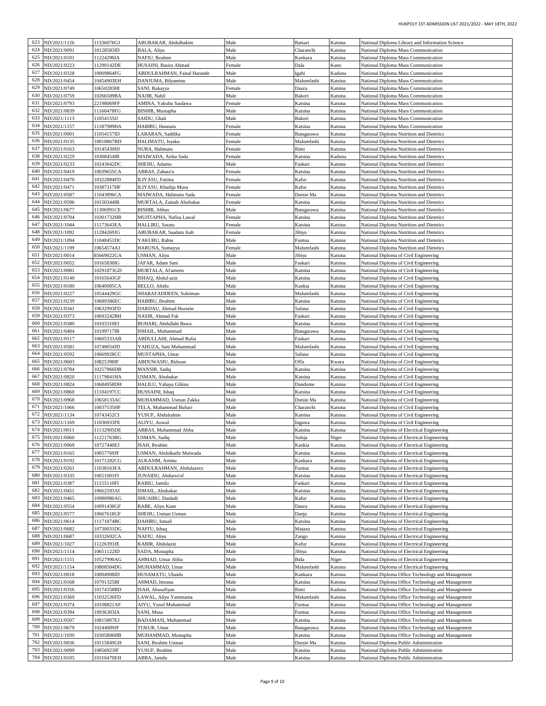| 623 | ND/2021/1126     | 11336076GJ  | ABUBAKAR, Abdulhakim        | Male   | Batsari    | Katsina | National Diploma Library and Information Science  |
|-----|------------------|-------------|-----------------------------|--------|------------|---------|---------------------------------------------------|
| 624 |                  |             |                             |        |            |         |                                                   |
|     | VD/2021/0091     | 10128583ID  | BALA, Aliyu                 | Male   | Charanchi  | Katsina | National Diploma Mass Communication               |
| 625 | ND/2021/0101     | 1224296IA   | NAFIU, Ibrahim              | Male   | Kankara    | Katsina | National Diploma Mass Communication               |
| 626 | ND/2021/0223     | 1290142DE   | HUSAINI, Basira Ahmad       | Female | Dala       | Kano    | National Diploma Mass Communication               |
| 627 | ND/2021/0328     | 10009864FG  | ABDULRAHMAN, Faisal Harande | Male   | Igabi      | Kaduna  | National Diploma Mass Communication               |
| 628 | ND/2021/0454     | 10454903EH  | DANJUMA, Bilyaminu          | Male   | Malumfashi | Katsina | National Diploma Mass Communication               |
| 629 | ND/2021/0749     | 10650283HI  | SANI, Rukayya               | Female | Daura      | Katsina | National Diploma Mass Communication               |
| 630 | ND/2021/0759     | 10266509BA  | NAJIB, Nabil                | Male   | Bakori     | Katsina | National Diploma Mass Communication               |
| 631 | ND/2021/0793     | 22198069FF  | AMINA, Yakubu Saulawa       | Female | Katsina    | Katsina | National Diploma Mass Communication               |
| 632 | ND/2021/0839     | l 1160478FG | BISHIR, Mustapha            | Male   | Katsina    | Katsina | National Diploma Mass Communication               |
| 633 | ND/2021/1113     | 1054155IJ   | SAIDU, Ghali                | Male   | Bakori     | Katsina | National Diploma Mass Communication               |
| 634 | ND/2021/1157     | l 1187989HA | HABIBU, Hannatu             | Female | Katsina    | Katsina | National Diploma Mass Communication               |
| 635 | ND/2021/0001     | 1054157ID   | LABARAN, Saddika            | Female | Batagarawa | Katsina | National Diploma Nutrition and Dietetics          |
| 636 |                  |             | HALIMATU, Isyaku            |        |            |         |                                                   |
|     | ND/2021/0135     | 10018867BD  |                             | Female | Malumfashi | Katsina | National Diploma Nutrition and Dietetics          |
| 637 | ND/2021/0163     | 10145430HJ  | NURA, Halimatu              | Female | Rimi       | Katsina | National Diploma Nutrition and Dietetics          |
| 638 | ND/2021/0229     | 10308454IB  | MAIWADA, Aisha Sada         | Female | Katsina    | Kaduna  | National Diploma Nutrition and Dietetics          |
| 639 | ND/2021/0233     | 10243642DC  | SHEHU, Adamu                | Male   | Faskari    | Katsina | National Diploma Nutrition and Dietetics          |
| 640 | ND/2021/0419     | 10039655CA  | ABBAS, Zahara'u             | Female | Katsina    | Katsina | National Diploma Nutrition and Dietetics          |
| 641 | VD/2021/0470     | 10322884FD  | ILIYASU, Fatima             | Female | Kafur      | Katsina | National Diploma Nutrition and Dietetics          |
| 642 | ND/2021/0471     | 10387317HF  | ILIYASU, Khadija Musa       | Female | Kafur      | Katsina | National Diploma Nutrition and Dietetics          |
| 643 | VD/2021/0587     | 1043896CA   | MAIWADA, Halimatu Sada      | Female | Dutsin Ma  | Katsina | National Diploma Nutrition and Dietetics          |
| 644 | ND/2021/0596     | 10150344IB  | MURTALA, Zainab Abubakar    | Female | Katsina    | Katsina | National Diploma Nutrition and Dietetics          |
| 645 | ND/2021/0677     | 1306991CE   | BISHIR, Abbas               | Male   | Batagarawa | Katsina | National Diploma Nutrition and Dietetics          |
| 646 | ND/2021/0704     | 10301732HB  | MUJITAPHA, Nafisa Lawal     | Female | Katsina    | Katsina | National Diploma Nutrition and Dietetics          |
| 647 | ND/2021/1044     | 11173643EA  | HALLIRU, Saratu             | Female | Katsina    | Katsina | National Diploma Nutrition and Dietetics          |
| 648 |                  |             |                             |        |            |         |                                                   |
|     | ND/2021/1092     | 1284269JG   | ABUBAKAR, Saadatu Isah      | Female | Jibiya     | Katsina | National Diploma Nutrition and Dietetics          |
| 649 | VD/2021/1094     | 1048451DC   | YAKUBU, Rabiu               | Male   | Funtua     | Katsina | National Diploma Nutrition and Dietetics          |
| 650 | ND/2021/1199     | 10654574AJ  | HARUNA, Sumayya             | Female | Malumfashi | Katsina | National Diploma Nutrition and Dietetics          |
| 651 | ND/2021/0014     | 35669022GA  | USMAN, Aliyu                | Male   | Jibiya     | Katsina | National Diploma of Civil Engineering             |
| 652 | ND/2021/0052     | 10165830IG  | JAFAR, Adam Sani            | Male   | Faskari    | Katsina | National Diploma of Civil Engineering             |
| 653 | ND/2021/0081     | 10291873GD  | MURTALA, Al'ameen           | Male   | Katsina    | Katsina | National Diploma of Civil Engineering             |
| 654 | ND/2021/0140     | 10165643GF  | ISHAQ, Abdul-aziz           | Male   | Katsina    | Katsina | National Diploma of Civil Engineering             |
| 655 | VD/2021/0180     | 10640085CA  | <b>BELLO, Abidu</b>         | Male   | Kankia     | Katsina | National Diploma of Civil Engineering             |
| 656 | ND/2021/0227     | 10544429GC  | SHARAFADDEEN, Suleiman      | Male   | Malumfashi | Katsina | National Diploma of Civil Engineering             |
| 657 | ND/2021/0239     | 10689386EC  | HABIBU, Ibrahim             | Male   | Katsina    | Katsina | National Diploma of Civil Engineering             |
| 658 | ND/2021/0341     | 10632993FD  | DARDAU, Ahmad Hussein       | Male   | Safana     | Katsina | National Diploma of Civil Engineering             |
| 659 | VD/2021/0373     | 10693242BH  | NASIR, Ahmad Fsk            | Male   | Faskari    | Katsina | National Diploma of Civil Engineering             |
| 660 |                  |             |                             |        |            |         |                                                   |
|     | ND/2021/0380     | 10103310EI  | BUHARI, Abdullahi Bawa      | Male   | Katsina    | Katsina | National Diploma of Civil Engineering             |
| 661 | ND/2021/0404     | 10199717IB  | ISMAIL, Muhammad            | Male   | Batagarawa | Katsina | National Diploma of Civil Engineering             |
| 662 | ND/2021/0517     | 10605333AB  | ABDULLAHI, Ahmad Rufai      | Male   | Faskari    | Katsina | National Diploma of Civil Engineering             |
| 663 | ND/2021/0581     | 10748054JD  | YAHUZA, Sani Muhammad       | Male   | Malumfashi | Katsina | National Diploma of Civil Engineering             |
| 664 | ND/2021/0592     | 10669928CC  | MUSTAPHA, Umar              | Male   | Safana     | Katsina | National Diploma of Civil Engineering             |
| 665 | ND/2021/0603     | 10825398IF  | ABDUWASIU, Ridwan           | Male   | Offa       | Kwara   | National Diploma of Civil Engineering             |
| 666 | ND/2021/0784     | 10257966DB  | MANSIR, Sadiq               | Male   | Katsina    | Katsina | National Diploma of Civil Engineering             |
| 667 | ND/2021/0820     | 11179841HA  | USMAN, Abubakar             | Male   | Katsina    | Katsina | National Diploma of Civil Engineering             |
| 668 | ND/2021/0824     | 10684958DH  | HALILU, Yahaya Gilima       | Male   | Dandume    | Katsina | National Diploma of Civil Engineering             |
| 669 | VD/2021/0860     | 1104197CC   | HUSSAINI, Ishaq             | Male   | Katsina    | Katsina | National Diploma of Civil Engineering             |
| 670 | ND/2021/0968     | 10658133AC  | MUHAMMAD, Usman Zakka       | Male   | Dutsin Ma  | Katsina | National Diploma of Civil Engineering             |
| 671 | ND/2021/1066     | 10037535HF  | TELA, Muhammad Buhari       | Male   |            | Katsina | National Diploma of Civil Engineering             |
| 672 |                  |             |                             |        | Charanchi  |         |                                                   |
|     | VD/2021/1134     | 10743452CI  | YUSUF, Abdulrahim           | Male   | Katsina    | Katsina | National Diploma of Civil Engineering             |
| 673 | ND/2021/1169     | 1036933FE   | ALIYU, Auwal                | Male   | Ingawa     | Katsina | National Diploma of Civil Engineering             |
| 674 | ND/2021/0011     | 1132905DE   | ABBAS, Muhammad Abba        | Male   | Katsina    | Katsina | National Diploma of Electrical Engineering        |
|     | 675 ND/2021/0060 | 11221763BG  | USMAN, Sadiq                | Male   | Suleja     | Niger   | National Diploma of Electrical Engineering        |
| 676 | ND/2021/0069     | 10727440EJ  | ISAH, Ibrahim               | Male   | Kankia     | Katsina | National Diploma of Electrical Engineering        |
| 677 | ND/2021/0165     | 10057769JF  | USMAN, Abdulkadir Maiwada   | Male   | Katsina    | Katsina | National Diploma of Electrical Engineering        |
| 678 | ND/2021/0192     | 10171282CG  | ALKASIM, Aminu              | Male   | Kankara    | Katsina | National Diploma of Electrical Engineering        |
| 679 | ND/2021/0261     | 1038163FA   | ABDULRAHMAN, Abdulazeez     | Male   | Funtua     | Katsina | National Diploma of Electrical Engineering        |
| 680 | ND/2021/0335     | 10651001FI  | JUNAIDU, Abdurra'uf         | Male   | Katsina    | Katsina | National Diploma of Electrical Engineering        |
| 681 | ND/2021/0387     | 11155110FI  | RABIU, Jamilu               | Male   | Faskari    | Katsina | National Diploma of Electrical Engineering        |
| 682 | ND/2021/0451     | 10662593AI  | ISMAIL, Abubakar            | Male   | Katsina    | Katsina | National Diploma of Electrical Engineering        |
| 683 | ND/2021/0465     | 10980980AG  | SHUAIBU, Danladi            | Male   | Kafur      | Katsina | National Diploma of Electrical Engineering        |
| 684 | ND/2021/0554     | 10091438GF  | RABE, Aliyu Kane            | Male   | Daura      | Katsina | National Diploma of Electrical Engineering        |
| 685 | ND/2021/0577     | 10667618GF  | SHEHU, Usman Usman          | Male   |            | Katsina |                                                   |
|     |                  |             |                             |        | Danja      |         | National Diploma of Electrical Engineering        |
| 686 | ND/2021/0614     | 11171874BC  | DAHIRU, Ismail              | Male   | Katsina    | Katsina | National Diploma of Electrical Engineering        |
| 687 | ND/2021/0682     | 10730031DG  | NAFI'U, Ishaq               | Male   | Matazu     | Katsina | National Diploma of Electrical Engineering        |
| 688 | ND/2021/0687     | 10332692CA  | NAFIU, Aliyu                | Male   | Zango      | Katsina | National Diploma of Electrical Engineering        |
| 689 | ND/2021/1027     | 1226393JE   | KABIR, Abdulaziz            | Male   | Kafur      | Katsina | National Diploma of Electrical Engineering        |
| 690 | ND/2021/1114     | 10651122ID  | SADA, Mustapha              | Male   | Jibiya     | Katsina | National Diploma of Electrical Engineering        |
| 691 | ND/2021/1151     | 10527990AG  | AHMAD, Umar Abba            | Male   | Bida       | Niger   | National Diploma of Electrical Engineering        |
| 692 | ND/2021/1154     | 10808504DG  | MUHAMMAD, Umar              | Male   | Malumfashi | Katsina | National Diploma of Electrical Engineering        |
| 693 | ND/2021/0018     | 0004908ID   | HUSAMATU, Ubaidu            | Male   | Kankara    | Katsina | National Diploma Office Technology and Management |
| 694 | ND/2021/0168     | 10701325BI  | AHMAD, Imrana               | Male   | Katsina    | Katsina | National Diploma Office Technology and Management |
| 695 | ND/2021/0356     | 10174358BD  | ISAH, Abusafiyan            | Male   | Rimi       | Kaduna  | National Diploma Office Technology and Management |
| 696 | ND/2021/0369     | 1032536FD   | LAWAL, Aliyu Yammama        | Male   | Malumfashi | Katsina | National Diploma Office Technology and Management |
| 697 | ND/2021/0374     | 10108821AF  | AIYU, Yusuf Muhammad        | Male   | Funtua     | Katsina | National Diploma Office Technology and Management |
| 698 | ND/2021/0394     | 10936303IA  | SANI, Musa                  | Male   | Funtua     | Katsina | National Diploma Office Technology and Management |
| 699 |                  |             |                             |        |            |         |                                                   |
|     | ND/2021/0507     | 10815807EJ  | BADAMASI, Muhammad          | Male   | Katsina    | Katsina | National Diploma Office Technology and Management |
| 700 | ND/2021/0679     | 10244009JF  | TUKUR, Umar                 | Male   | Batagarawa | Katsina | National Diploma Office Technology and Management |
| 701 | ND/2021/1030     | 0305806HB   | MUHAMMAD, Mustapha          | Male   | Katsina    | Katsina | National Diploma Office Technology and Management |
| 702 | ND/2021/0036     | 10115849GH  | SANI, Ibrahim Usman         | Male   | Dutsin Ma  | Katsina | National Diploma Public Administration            |
| 703 | ND/2021/0099     | 10856923IF  | YUSUF, Ibrahim              | Male   | Katsina    | Katsina | National Diploma Public Administration            |
| 704 | ND/2021/0105     | 10310470EH  | ABBA, Jamilu                | Male   | Katsina    | Katsina | National Diploma Public Administration            |